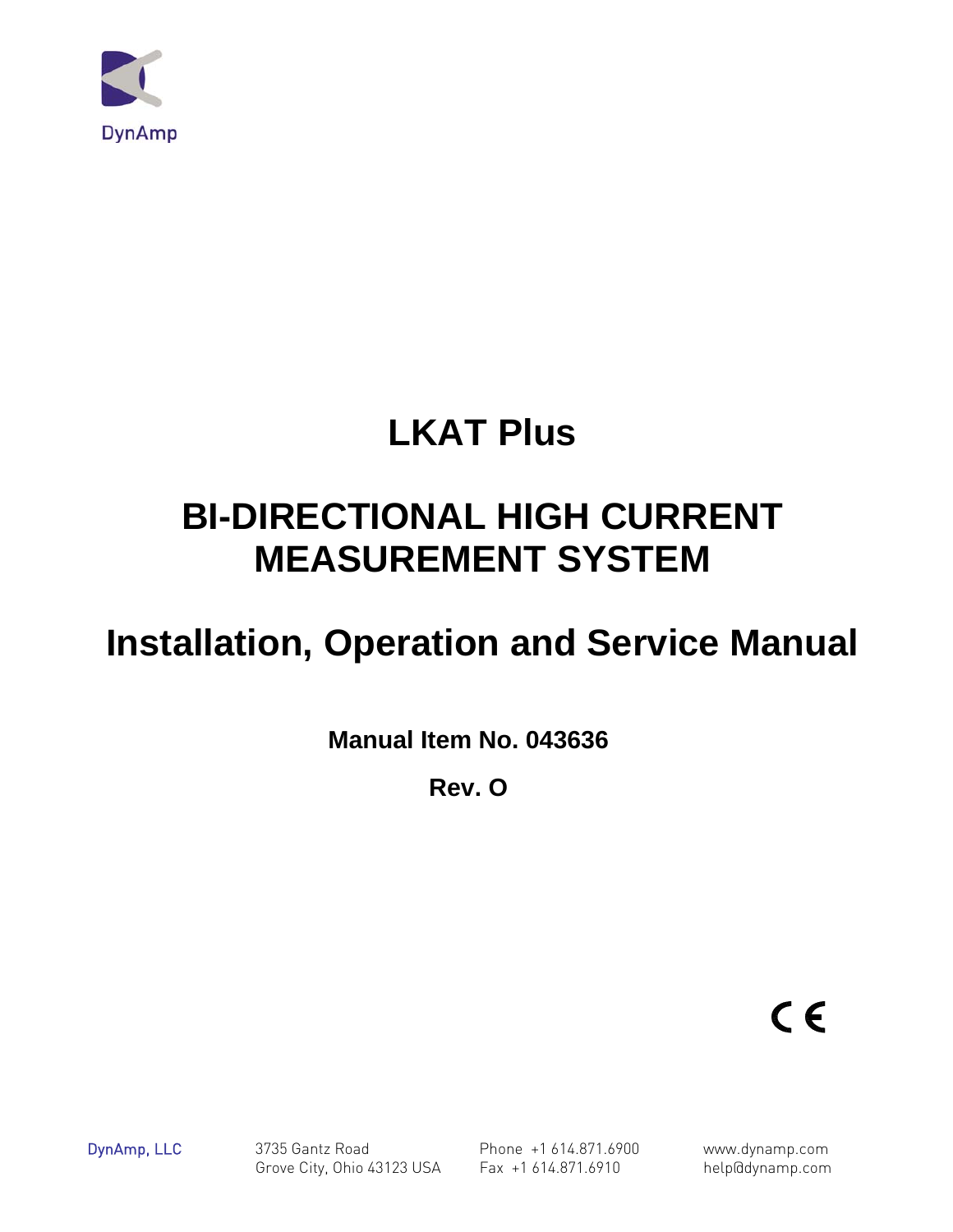

# **LKAT Plus**

# **BI-DIRECTIONAL HIGH CURRENT MEASUREMENT SYSTEM**

# **Installation, Operation and Service Manual**

**Manual Item No. 043636** 

**Rev. O** 

 $C \in$ 

DynAmp, LLC 3735 Gantz Road Phone +1 614.871.6900 www.dynamp.com Grove City, Ohio 43123 USA Fax +1 614.871.6910 help@dynamp.com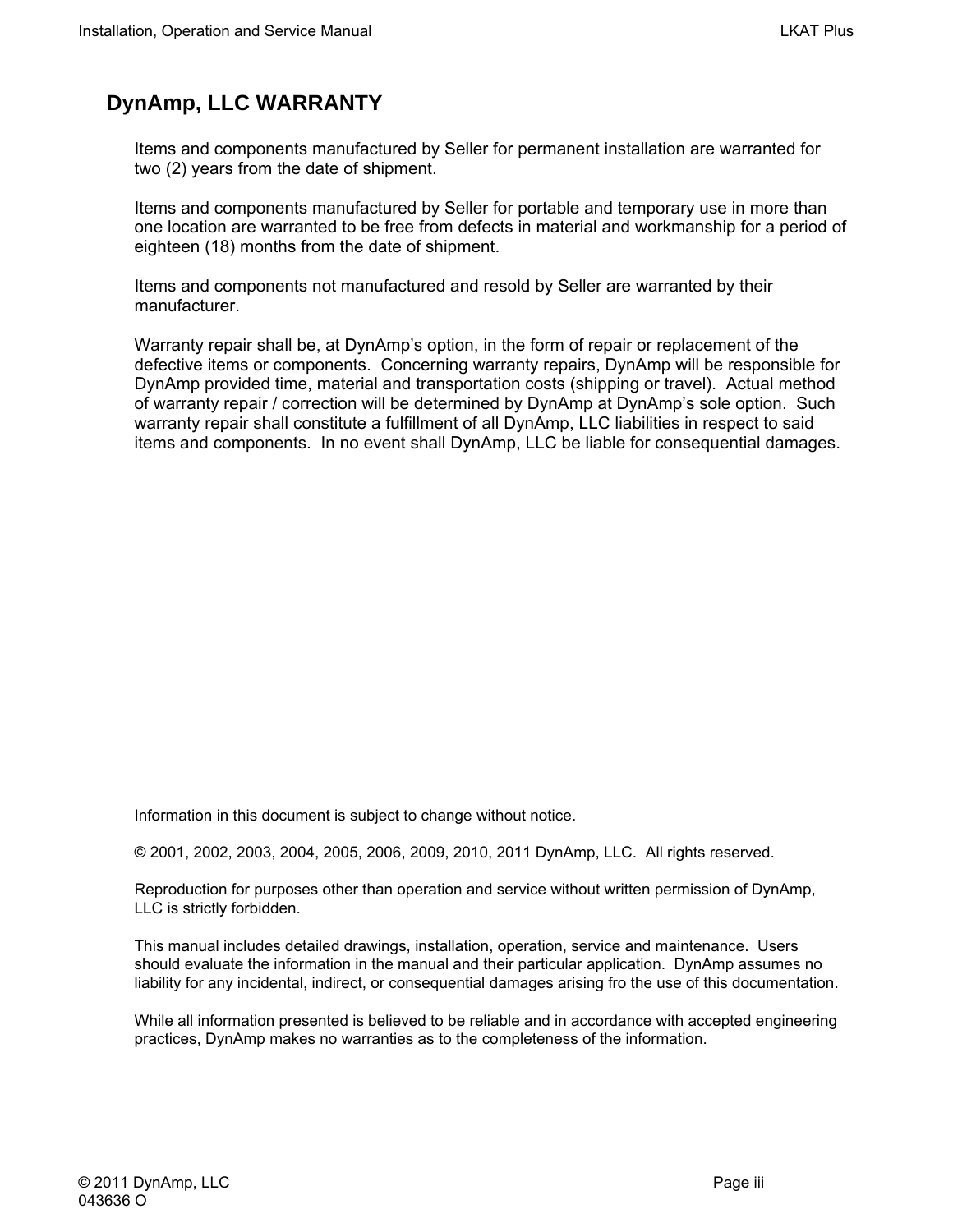### **DynAmp, LLC WARRANTY**

Items and components manufactured by Seller for permanent installation are warranted for two (2) years from the date of shipment.

Items and components manufactured by Seller for portable and temporary use in more than one location are warranted to be free from defects in material and workmanship for a period of eighteen (18) months from the date of shipment.

Items and components not manufactured and resold by Seller are warranted by their manufacturer.

Warranty repair shall be, at DynAmp's option, in the form of repair or replacement of the defective items or components. Concerning warranty repairs, DynAmp will be responsible for DynAmp provided time, material and transportation costs (shipping or travel). Actual method of warranty repair / correction will be determined by DynAmp at DynAmp's sole option. Such warranty repair shall constitute a fulfillment of all DynAmp, LLC liabilities in respect to said items and components. In no event shall DynAmp, LLC be liable for consequential damages.

Information in this document is subject to change without notice.

© 2001, 2002, 2003, 2004, 2005, 2006, 2009, 2010, 2011 DynAmp, LLC. All rights reserved.

Reproduction for purposes other than operation and service without written permission of DynAmp, LLC is strictly forbidden.

This manual includes detailed drawings, installation, operation, service and maintenance. Users should evaluate the information in the manual and their particular application. DynAmp assumes no liability for any incidental, indirect, or consequential damages arising fro the use of this documentation.

While all information presented is believed to be reliable and in accordance with accepted engineering practices, DynAmp makes no warranties as to the completeness of the information.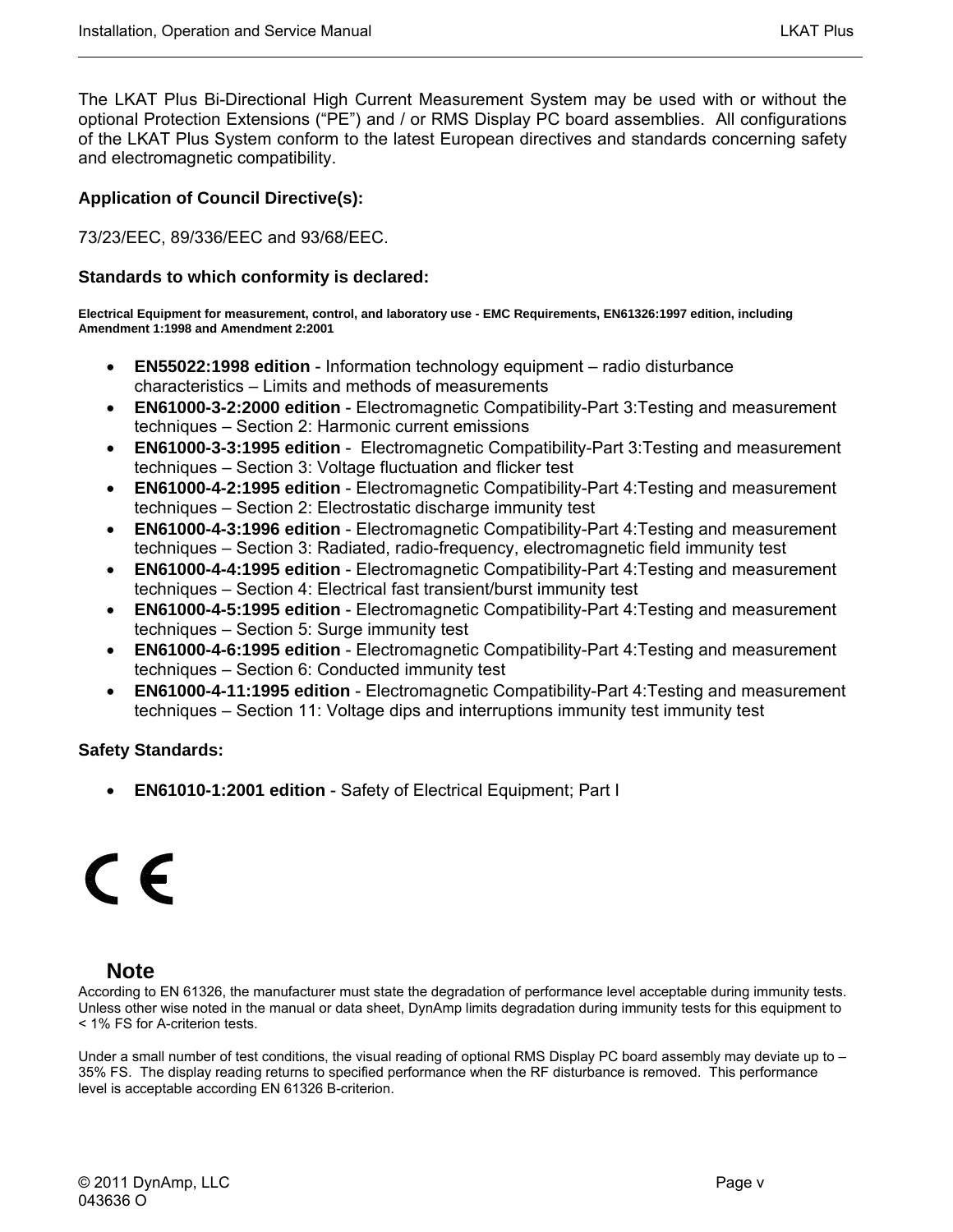The LKAT Plus Bi-Directional High Current Measurement System may be used with or without the optional Protection Extensions ("PE") and / or RMS Display PC board assemblies. All configurations of the LKAT Plus System conform to the latest European directives and standards concerning safety and electromagnetic compatibility.

#### **Application of Council Directive(s):**

73/23/EEC, 89/336/EEC and 93/68/EEC.

#### **Standards to which conformity is declared:**

**Electrical Equipment for measurement, control, and laboratory use - EMC Requirements, EN61326:1997 edition, including Amendment 1:1998 and Amendment 2:2001** 

- **EN55022:1998 edition** Information technology equipment radio disturbance characteristics – Limits and methods of measurements
- **EN61000-3-2:2000 edition** Electromagnetic Compatibility-Part 3:Testing and measurement techniques – Section 2: Harmonic current emissions
- **EN61000-3-3:1995 edition** Electromagnetic Compatibility-Part 3:Testing and measurement techniques – Section 3: Voltage fluctuation and flicker test
- **EN61000-4-2:1995 edition** Electromagnetic Compatibility-Part 4:Testing and measurement techniques – Section 2: Electrostatic discharge immunity test
- **EN61000-4-3:1996 edition** Electromagnetic Compatibility-Part 4:Testing and measurement techniques – Section 3: Radiated, radio-frequency, electromagnetic field immunity test
- **EN61000-4-4:1995 edition** Electromagnetic Compatibility-Part 4:Testing and measurement techniques – Section 4: Electrical fast transient/burst immunity test
- **EN61000-4-5:1995 edition** Electromagnetic Compatibility-Part 4:Testing and measurement techniques – Section 5: Surge immunity test
- **EN61000-4-6:1995 edition** Electromagnetic Compatibility-Part 4:Testing and measurement techniques – Section 6: Conducted immunity test
- **EN61000-4-11:1995 edition** Electromagnetic Compatibility-Part 4:Testing and measurement techniques – Section 11: Voltage dips and interruptions immunity test immunity test

#### **Safety Standards:**

• **EN61010-1:2001 edition** - Safety of Electrical Equipment; Part I

# C E

#### **Note**

According to EN 61326, the manufacturer must state the degradation of performance level acceptable during immunity tests. Unless other wise noted in the manual or data sheet, DynAmp limits degradation during immunity tests for this equipment to < 1% FS for A-criterion tests.

Under a small number of test conditions, the visual reading of optional RMS Display PC board assembly may deviate up to – 35% FS. The display reading returns to specified performance when the RF disturbance is removed. This performance level is acceptable according EN 61326 B-criterion.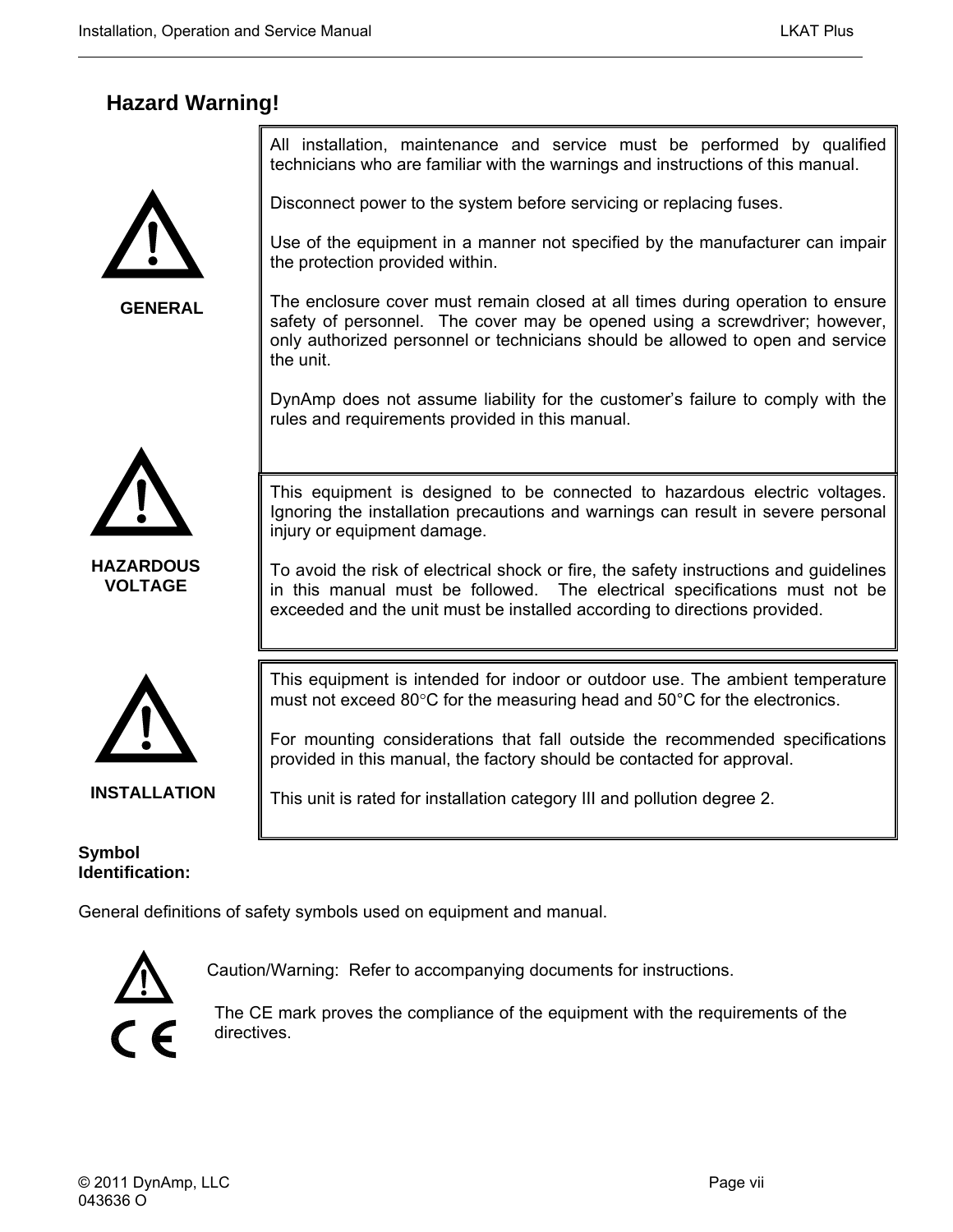### **Hazard Warning!**



**GENERAL**

All installation, maintenance and service must be performed by qualified technicians who are familiar with the warnings and instructions of this manual.

Disconnect power to the system before servicing or replacing fuses.

Use of the equipment in a manner not specified by the manufacturer can impair the protection provided within.

The enclosure cover must remain closed at all times during operation to ensure safety of personnel. The cover may be opened using a screwdriver; however, only authorized personnel or technicians should be allowed to open and service the unit.

DynAmp does not assume liability for the customer's failure to comply with the rules and requirements provided in this manual.



**HAZARDOUS VOLTAGE**

This equipment is designed to be connected to hazardous electric voltages. Ignoring the installation precautions and warnings can result in severe personal injury or equipment damage.

To avoid the risk of electrical shock or fire, the safety instructions and guidelines in this manual must be followed. The electrical specifications must not be exceeded and the unit must be installed according to directions provided.



This equipment is intended for indoor or outdoor use. The ambient temperature must not exceed 80°C for the measuring head and 50°C for the electronics.

For mounting considerations that fall outside the recommended specifications

provided in this manual, the factory should be contacted for approval.

This unit is rated for installation category III and pollution degree 2.

**INSTALLATION**

**Symbol Identification:** 

General definitions of safety symbols used on equipment and manual.



Caution/Warning: Refer to accompanying documents for instructions.

The CE mark proves the compliance of the equipment with the requirements of the directives.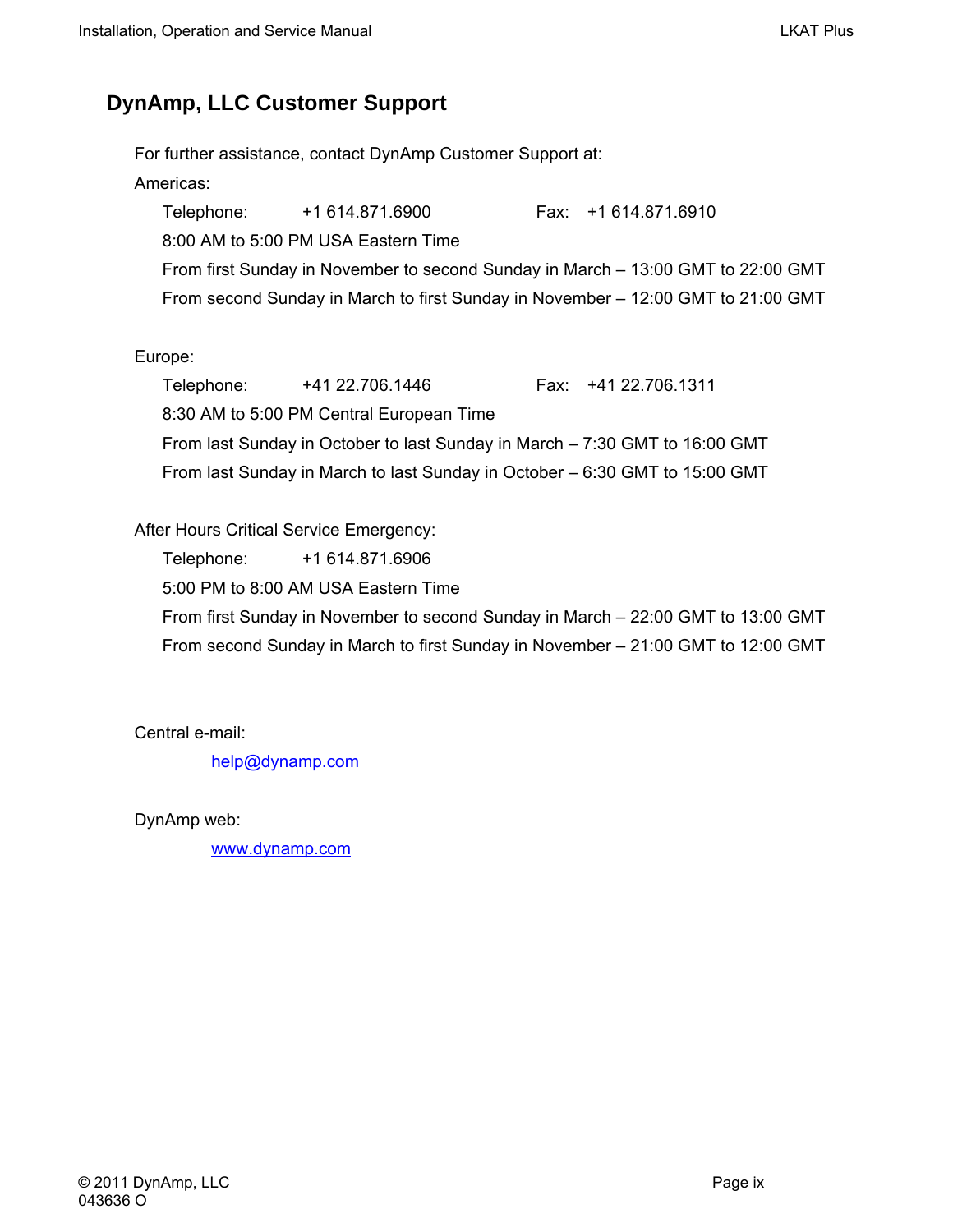### **DynAmp, LLC Customer Support**

For further assistance, contact DynAmp Customer Support at: Americas: Telephone: +1 614.871.6900 Fax: +1 614.871.6910 8:00 AM to 5:00 PM USA Eastern Time From first Sunday in November to second Sunday in March – 13:00 GMT to 22:00 GMT From second Sunday in March to first Sunday in November – 12:00 GMT to 21:00 GMT

#### Europe:

Telephone: +41 22.706.1446 Fax: +41 22.706.1311 8:30 AM to 5:00 PM Central European Time From last Sunday in October to last Sunday in March – 7:30 GMT to 16:00 GMT From last Sunday in March to last Sunday in October – 6:30 GMT to 15:00 GMT

#### After Hours Critical Service Emergency:

Telephone: +1 614.871.6906 5:00 PM to 8:00 AM USA Eastern Time From first Sunday in November to second Sunday in March – 22:00 GMT to 13:00 GMT From second Sunday in March to first Sunday in November – 21:00 GMT to 12:00 GMT

Central e-mail:

[help@dynamp.com](mailto:help@dynamp.com)

DynAmp web:

[www.dynamp.com](http://www.dynamp.com/)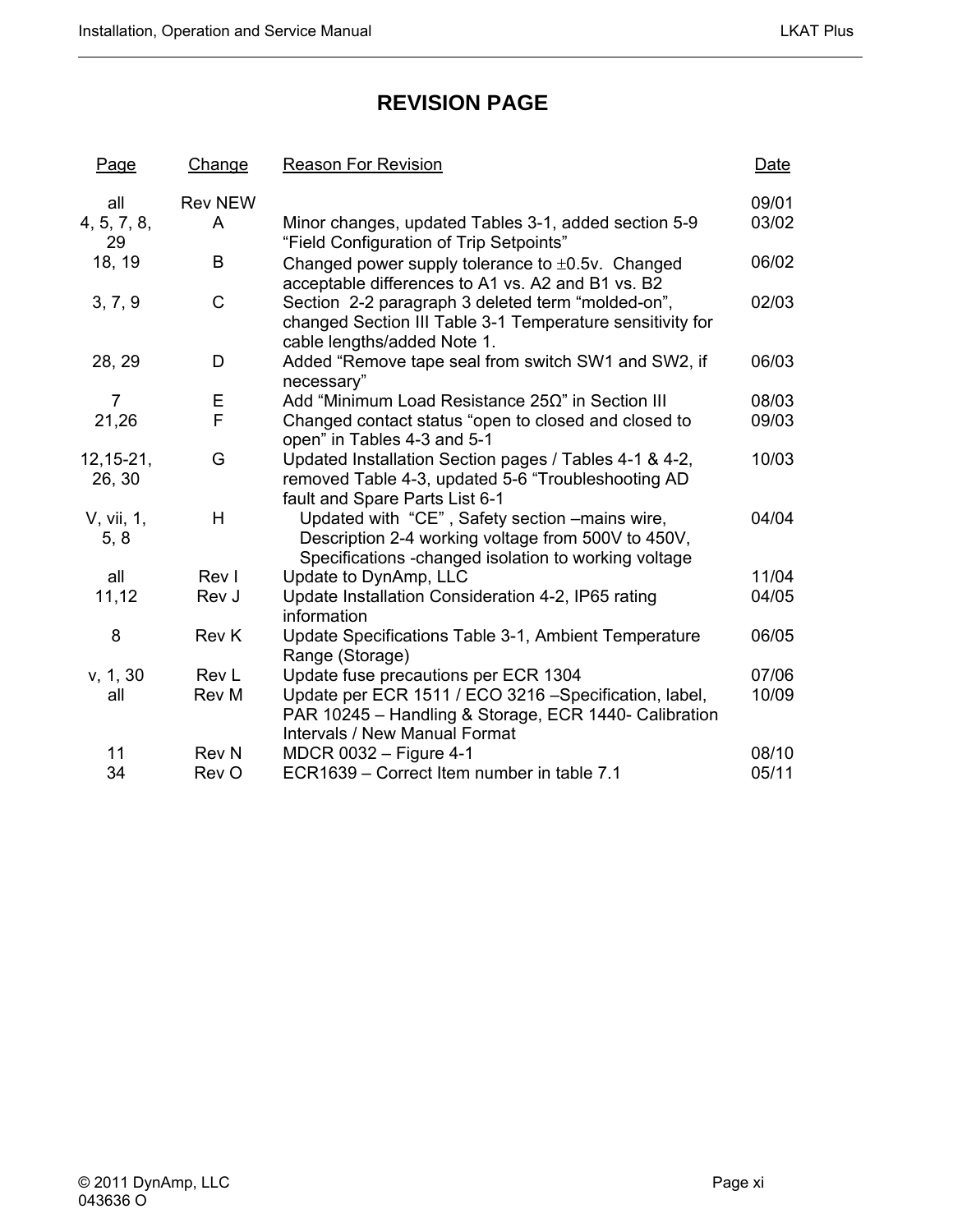### **REVISION PAGE**

| <b>Page</b>        | Change         | <b>Reason For Revision</b>                                                                                                                                    | Date  |
|--------------------|----------------|---------------------------------------------------------------------------------------------------------------------------------------------------------------|-------|
| all                | <b>Rev NEW</b> |                                                                                                                                                               | 09/01 |
| 4, 5, 7, 8,<br>29  | A              | Minor changes, updated Tables 3-1, added section 5-9<br>"Field Configuration of Trip Setpoints"                                                               | 03/02 |
| 18, 19             | B              | Changed power supply tolerance to $\pm 0.5v$ . Changed<br>acceptable differences to A1 vs. A2 and B1 vs. B2                                                   | 06/02 |
| 3, 7, 9            | $\mathsf{C}$   | Section 2-2 paragraph 3 deleted term "molded-on",<br>changed Section III Table 3-1 Temperature sensitivity for<br>cable lengths/added Note 1.                 | 02/03 |
| 28, 29             | D              | Added "Remove tape seal from switch SW1 and SW2, if<br>necessary"                                                                                             | 06/03 |
| $\overline{7}$     | Ε              | Add "Minimum Load Resistance $25\Omega$ " in Section III                                                                                                      | 08/03 |
| 21,26              | F              | Changed contact status "open to closed and closed to<br>open" in Tables 4-3 and 5-1                                                                           | 09/03 |
| $12, 15 - 21,$     | G              | Updated Installation Section pages / Tables 4-1 & 4-2,                                                                                                        | 10/03 |
| 26, 30             |                | removed Table 4-3, updated 5-6 "Troubleshooting AD<br>fault and Spare Parts List 6-1                                                                          |       |
| V, vii, 1,<br>5, 8 | H              | Updated with "CE", Safety section -mains wire,<br>Description 2-4 working voltage from 500V to 450V,<br>Specifications - changed isolation to working voltage | 04/04 |
| all                | Rev I          | Update to DynAmp, LLC                                                                                                                                         | 11/04 |
| 11,12              | Rev J          | Update Installation Consideration 4-2, IP65 rating<br>information                                                                                             | 04/05 |
| 8                  | Rev K          | Update Specifications Table 3-1, Ambient Temperature<br>Range (Storage)                                                                                       | 06/05 |
| v, 1, 30           | Rev L          | Update fuse precautions per ECR 1304                                                                                                                          | 07/06 |
| all                | Rev M          | Update per ECR 1511 / ECO 3216 -Specification, label,<br>PAR 10245 - Handling & Storage, ECR 1440- Calibration<br><b>Intervals / New Manual Format</b>        | 10/09 |
| 11                 | <b>Rev N</b>   | MDCR 0032 - Figure 4-1                                                                                                                                        | 08/10 |
| 34                 | Rev O          | ECR1639 - Correct Item number in table 7.1                                                                                                                    | 05/11 |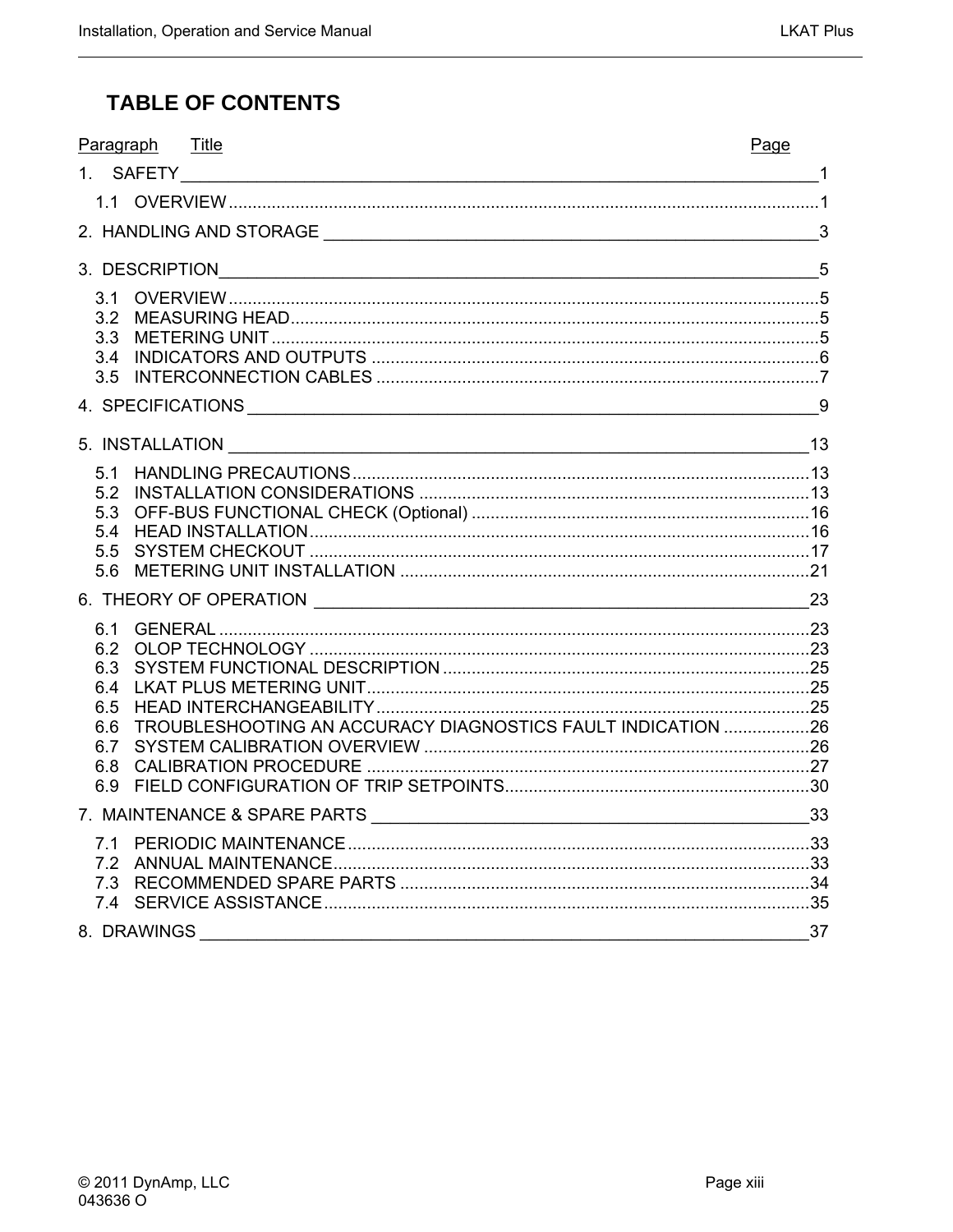### **TABLE OF CONTENTS**

| Title<br>Paragraph                                                 | Page |
|--------------------------------------------------------------------|------|
|                                                                    |      |
|                                                                    |      |
|                                                                    |      |
| 3. DESCRIPTION 5                                                   |      |
| 3.1                                                                |      |
| 3.2                                                                |      |
| 3.3<br>3.4                                                         |      |
| 3.5                                                                |      |
|                                                                    |      |
|                                                                    |      |
| 5.1                                                                |      |
| 5.2                                                                |      |
| 5.3                                                                |      |
| 5.4<br>5.5                                                         |      |
| 5.6                                                                |      |
|                                                                    | 23   |
| 6.1                                                                |      |
| 6.2                                                                |      |
| 6.3<br>6.4                                                         |      |
| 6.5                                                                |      |
| TROUBLESHOOTING AN ACCURACY DIAGNOSTICS FAULT INDICATION 26<br>6.6 |      |
| 6.7                                                                |      |
| 6.8<br>6.9                                                         |      |
|                                                                    |      |
|                                                                    |      |
| 7.1                                                                |      |
|                                                                    |      |
|                                                                    |      |
| 8. DRAWINGS                                                        | 37   |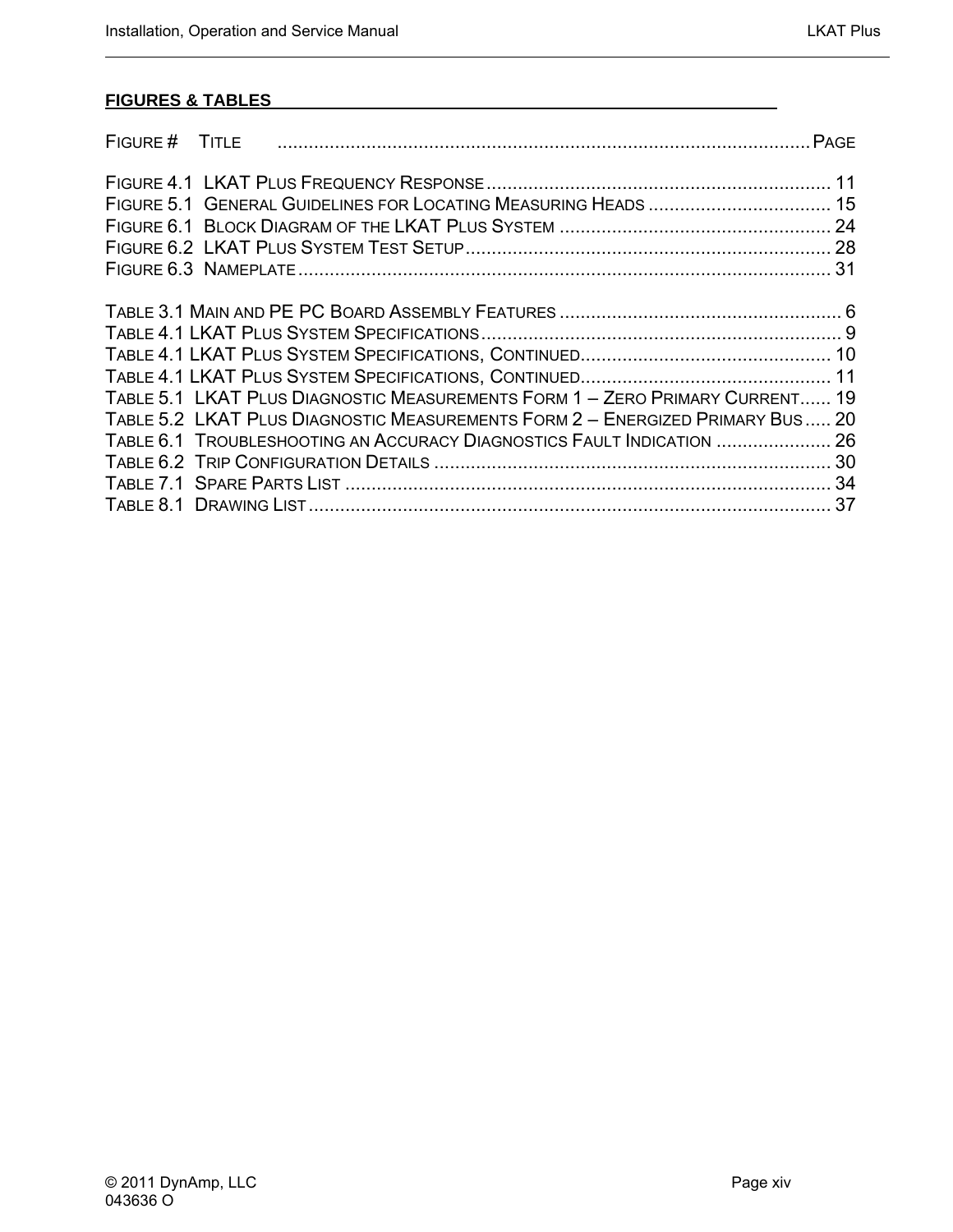#### **FIGURES & TABLES**

| FIGURE # TITLE |                                                                                                                                                                                                                                         |  |
|----------------|-----------------------------------------------------------------------------------------------------------------------------------------------------------------------------------------------------------------------------------------|--|
|                |                                                                                                                                                                                                                                         |  |
|                |                                                                                                                                                                                                                                         |  |
|                |                                                                                                                                                                                                                                         |  |
|                | TABLE 5.1 LKAT PLUS DIAGNOSTIC MEASUREMENTS FORM 1 - ZERO PRIMARY CURRENT 19<br>TABLE 5.2 LKAT PLUS DIAGNOSTIC MEASUREMENTS FORM 2 - ENERGIZED PRIMARY BUS 20<br>TABLE 6.1 TROUBLESHOOTING AN ACCURACY DIAGNOSTICS FAULT INDICATION  26 |  |
|                |                                                                                                                                                                                                                                         |  |
|                |                                                                                                                                                                                                                                         |  |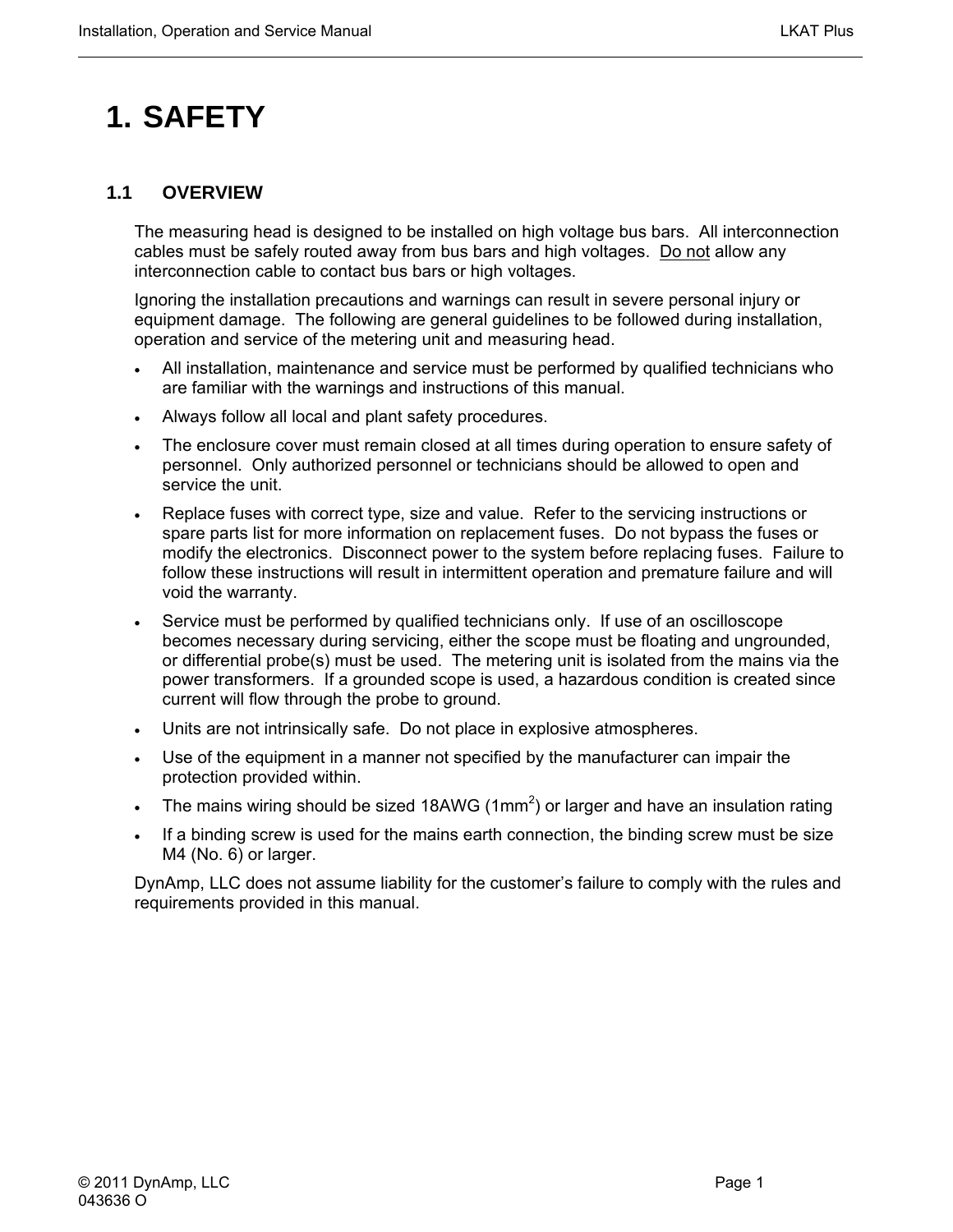# <span id="page-14-0"></span>**1. SAFETY**

#### **1.1 OVERVIEW**

The measuring head is designed to be installed on high voltage bus bars. All interconnection cables must be safely routed away from bus bars and high voltages. Do not allow any interconnection cable to contact bus bars or high voltages.

Ignoring the installation precautions and warnings can result in severe personal injury or equipment damage. The following are general guidelines to be followed during installation, operation and service of the metering unit and measuring head.

- All installation, maintenance and service must be performed by qualified technicians who are familiar with the warnings and instructions of this manual.
- Always follow all local and plant safety procedures.
- The enclosure cover must remain closed at all times during operation to ensure safety of personnel. Only authorized personnel or technicians should be allowed to open and service the unit.
- Replace fuses with correct type, size and value. Refer to the servicing instructions or spare parts list for more information on replacement fuses. Do not bypass the fuses or modify the electronics. Disconnect power to the system before replacing fuses. Failure to follow these instructions will result in intermittent operation and premature failure and will void the warranty.
- Service must be performed by qualified technicians only. If use of an oscilloscope becomes necessary during servicing, either the scope must be floating and ungrounded, or differential probe(s) must be used. The metering unit is isolated from the mains via the power transformers. If a grounded scope is used, a hazardous condition is created since current will flow through the probe to ground.
- Units are not intrinsically safe. Do not place in explosive atmospheres.
- Use of the equipment in a manner not specified by the manufacturer can impair the protection provided within.
- The mains wiring should be sized 18AWG (1mm<sup>2</sup>) or larger and have an insulation rating
- If a binding screw is used for the mains earth connection, the binding screw must be size M4 (No. 6) or larger.

DynAmp, LLC does not assume liability for the customer's failure to comply with the rules and requirements provided in this manual.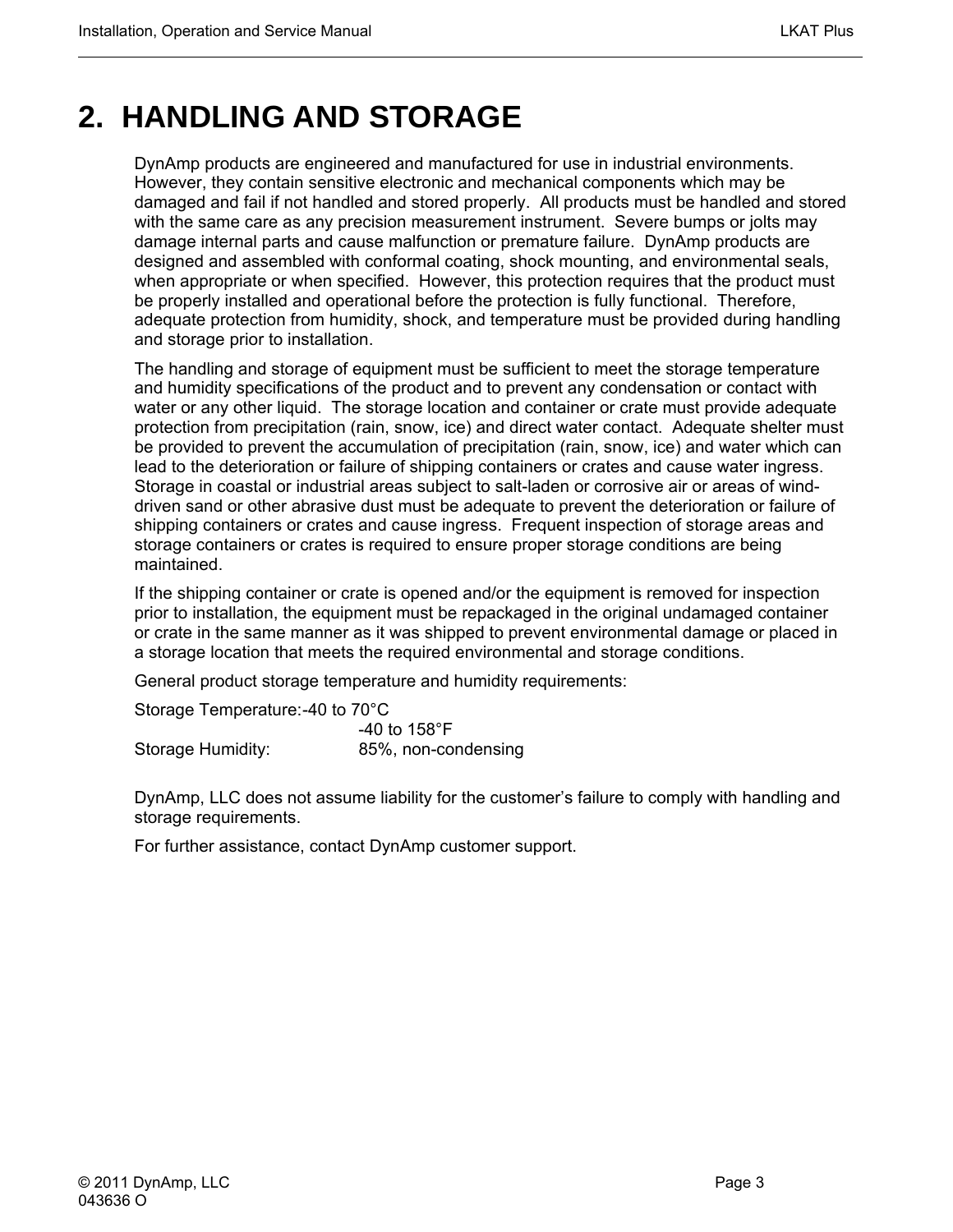## <span id="page-16-0"></span>**2. HANDLING AND STORAGE**

DynAmp products are engineered and manufactured for use in industrial environments. However, they contain sensitive electronic and mechanical components which may be damaged and fail if not handled and stored properly. All products must be handled and stored with the same care as any precision measurement instrument. Severe bumps or jolts may damage internal parts and cause malfunction or premature failure. DynAmp products are designed and assembled with conformal coating, shock mounting, and environmental seals, when appropriate or when specified. However, this protection requires that the product must be properly installed and operational before the protection is fully functional. Therefore, adequate protection from humidity, shock, and temperature must be provided during handling and storage prior to installation.

The handling and storage of equipment must be sufficient to meet the storage temperature and humidity specifications of the product and to prevent any condensation or contact with water or any other liquid. The storage location and container or crate must provide adequate protection from precipitation (rain, snow, ice) and direct water contact. Adequate shelter must be provided to prevent the accumulation of precipitation (rain, snow, ice) and water which can lead to the deterioration or failure of shipping containers or crates and cause water ingress. Storage in coastal or industrial areas subject to salt-laden or corrosive air or areas of winddriven sand or other abrasive dust must be adequate to prevent the deterioration or failure of shipping containers or crates and cause ingress. Frequent inspection of storage areas and storage containers or crates is required to ensure proper storage conditions are being maintained.

If the shipping container or crate is opened and/or the equipment is removed for inspection prior to installation, the equipment must be repackaged in the original undamaged container or crate in the same manner as it was shipped to prevent environmental damage or placed in a storage location that meets the required environmental and storage conditions.

General product storage temperature and humidity requirements:

Storage Temperature: -40 to 70°C

|                   | -40 to 158 $^{\circ}$ F |
|-------------------|-------------------------|
| Storage Humidity: | 85%, non-condensing     |

DynAmp, LLC does not assume liability for the customer's failure to comply with handling and storage requirements.

For further assistance, contact DynAmp customer support.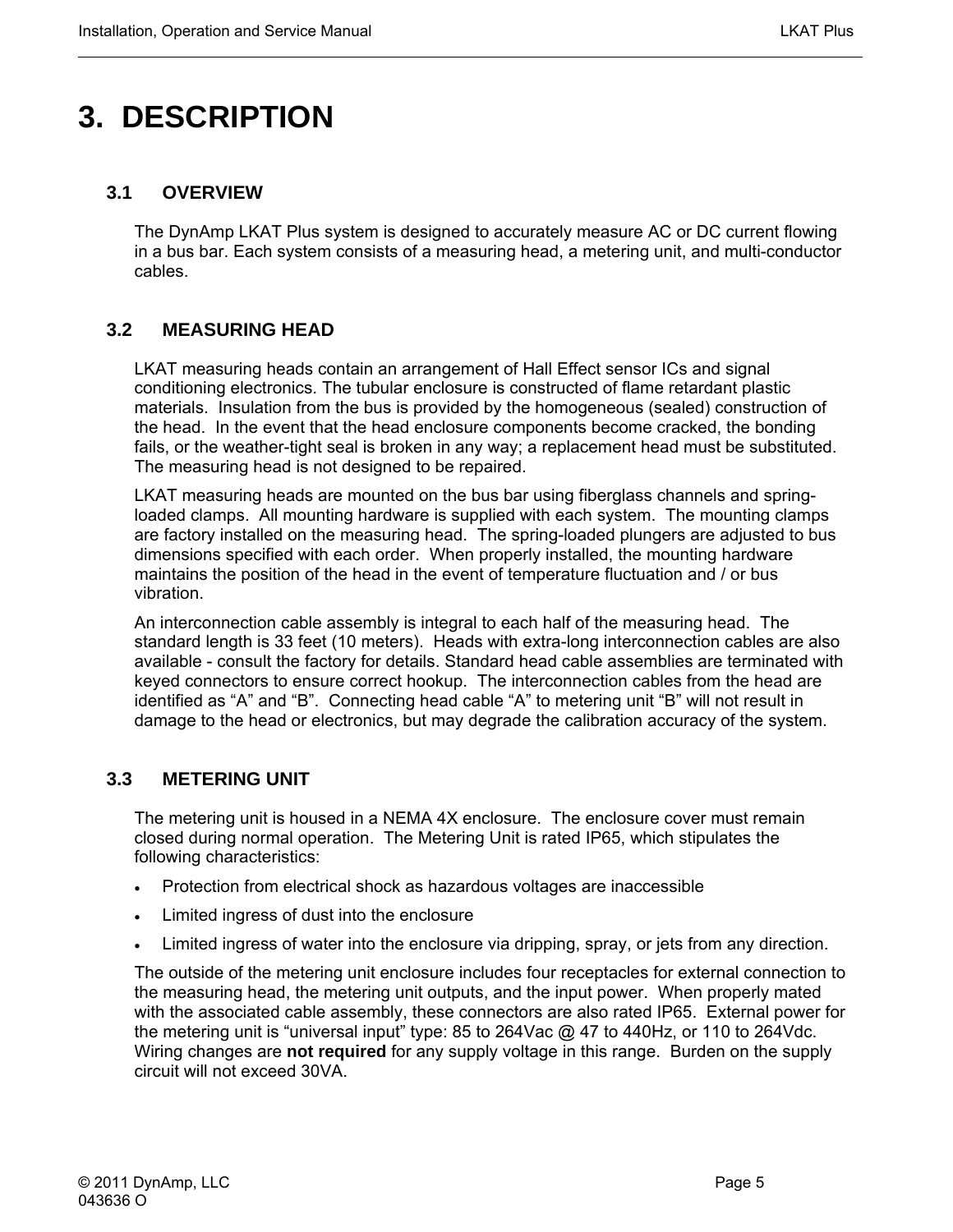# <span id="page-18-0"></span>**3. DESCRIPTION**

#### **3.1 OVERVIEW**

The DynAmp LKAT Plus system is designed to accurately measure AC or DC current flowing in a bus bar. Each system consists of a measuring head, a metering unit, and multi-conductor cables.

#### **3.2 MEASURING HEAD**

LKAT measuring heads contain an arrangement of Hall Effect sensor ICs and signal conditioning electronics. The tubular enclosure is constructed of flame retardant plastic materials. Insulation from the bus is provided by the homogeneous (sealed) construction of the head. In the event that the head enclosure components become cracked, the bonding fails, or the weather-tight seal is broken in any way; a replacement head must be substituted. The measuring head is not designed to be repaired.

LKAT measuring heads are mounted on the bus bar using fiberglass channels and springloaded clamps. All mounting hardware is supplied with each system. The mounting clamps are factory installed on the measuring head. The spring-loaded plungers are adjusted to bus dimensions specified with each order. When properly installed, the mounting hardware maintains the position of the head in the event of temperature fluctuation and / or bus vibration.

An interconnection cable assembly is integral to each half of the measuring head. The standard length is 33 feet (10 meters). Heads with extra-long interconnection cables are also available - consult the factory for details. Standard head cable assemblies are terminated with keyed connectors to ensure correct hookup. The interconnection cables from the head are identified as "A" and "B". Connecting head cable "A" to metering unit "B" will not result in damage to the head or electronics, but may degrade the calibration accuracy of the system.

#### **3.3 METERING UNIT**

The metering unit is housed in a NEMA 4X enclosure. The enclosure cover must remain closed during normal operation. The Metering Unit is rated IP65, which stipulates the following characteristics:

- Protection from electrical shock as hazardous voltages are inaccessible
- Limited ingress of dust into the enclosure
- Limited ingress of water into the enclosure via dripping, spray, or jets from any direction.

The outside of the metering unit enclosure includes four receptacles for external connection to the measuring head, the metering unit outputs, and the input power. When properly mated with the associated cable assembly, these connectors are also rated IP65. External power for the metering unit is "universal input" type: 85 to 264Vac @ 47 to 440Hz, or 110 to 264Vdc. Wiring changes are **not required** for any supply voltage in this range. Burden on the supply circuit will not exceed 30VA.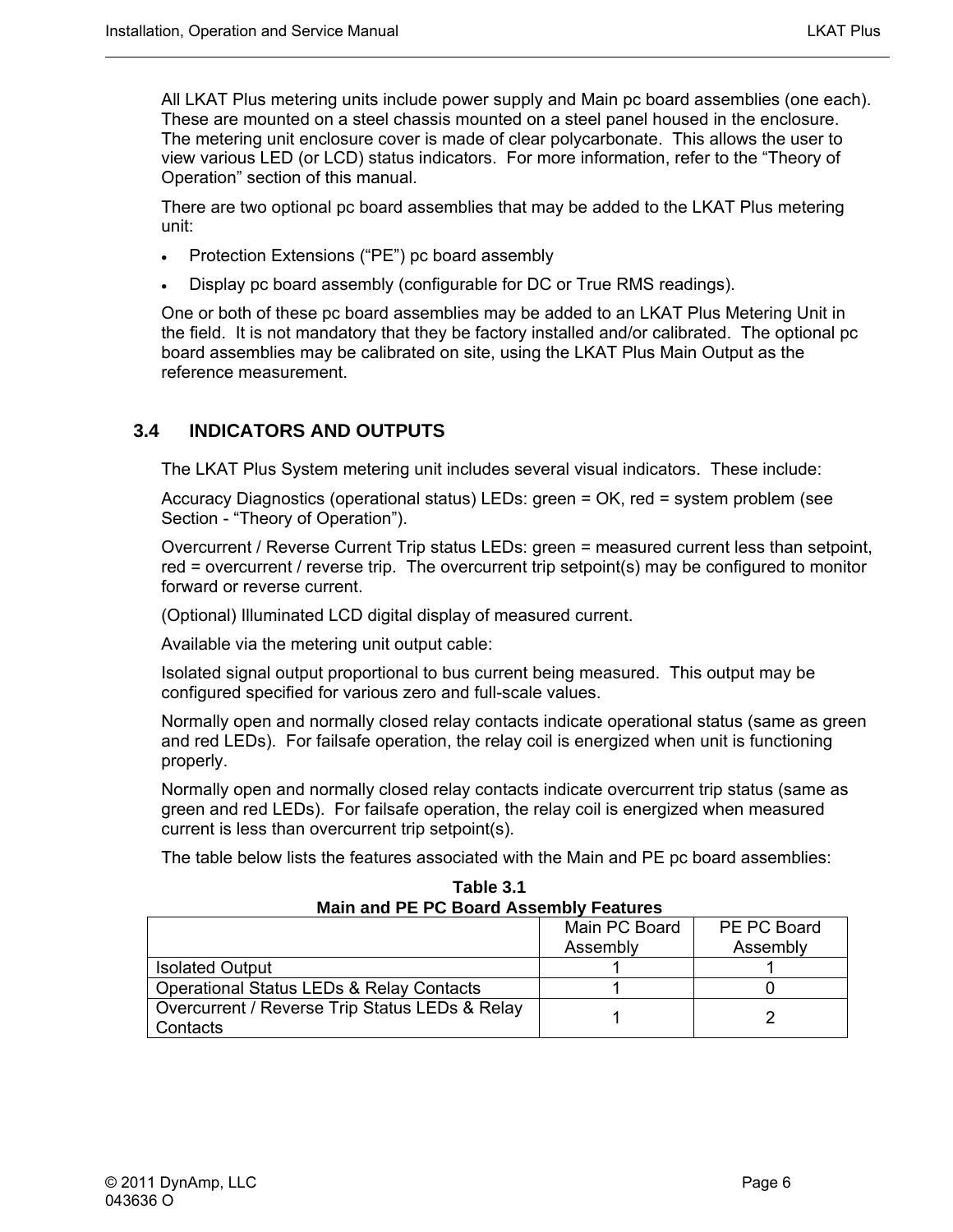<span id="page-19-0"></span>All LKAT Plus metering units include power supply and Main pc board assemblies (one each). These are mounted on a steel chassis mounted on a steel panel housed in the enclosure. The metering unit enclosure cover is made of clear polycarbonate. This allows the user to view various LED (or LCD) status indicators. For more information, refer to the "Theory of Operation" section of this manual.

There are two optional pc board assemblies that may be added to the LKAT Plus metering unit:

- Protection Extensions ("PE") pc board assembly
- Display pc board assembly (configurable for DC or True RMS readings).

One or both of these pc board assemblies may be added to an LKAT Plus Metering Unit in the field. It is not mandatory that they be factory installed and/or calibrated. The optional pc board assemblies may be calibrated on site, using the LKAT Plus Main Output as the reference measurement.

#### **3.4 INDICATORS AND OUTPUTS**

The LKAT Plus System metering unit includes several visual indicators. These include:

Accuracy Diagnostics (operational status) LEDs: green = OK, red = system problem (see Section - "Theory of Operation").

Overcurrent / Reverse Current Trip status LEDs: green = measured current less than setpoint, red = overcurrent / reverse trip. The overcurrent trip setpoint(s) may be configured to monitor forward or reverse current.

(Optional) Illuminated LCD digital display of measured current.

Available via the metering unit output cable:

Isolated signal output proportional to bus current being measured. This output may be configured specified for various zero and full-scale values.

Normally open and normally closed relay contacts indicate operational status (same as green and red LEDs). For failsafe operation, the relay coil is energized when unit is functioning properly.

Normally open and normally closed relay contacts indicate overcurrent trip status (same as green and red LEDs). For failsafe operation, the relay coil is energized when measured current is less than overcurrent trip setpoint(s).

The table below lists the features associated with the Main and PE pc board assemblies:

**Table 3.1 Main and PE PC Board Assembly Features** 

|                                                     | Main PC Board | PE PC Board |
|-----------------------------------------------------|---------------|-------------|
|                                                     | Assembly      | Assembly    |
| <b>Isolated Output</b>                              |               |             |
| <b>Operational Status LEDs &amp; Relay Contacts</b> |               |             |
| Overcurrent / Reverse Trip Status LEDs & Relay      |               |             |
| Contacts                                            |               |             |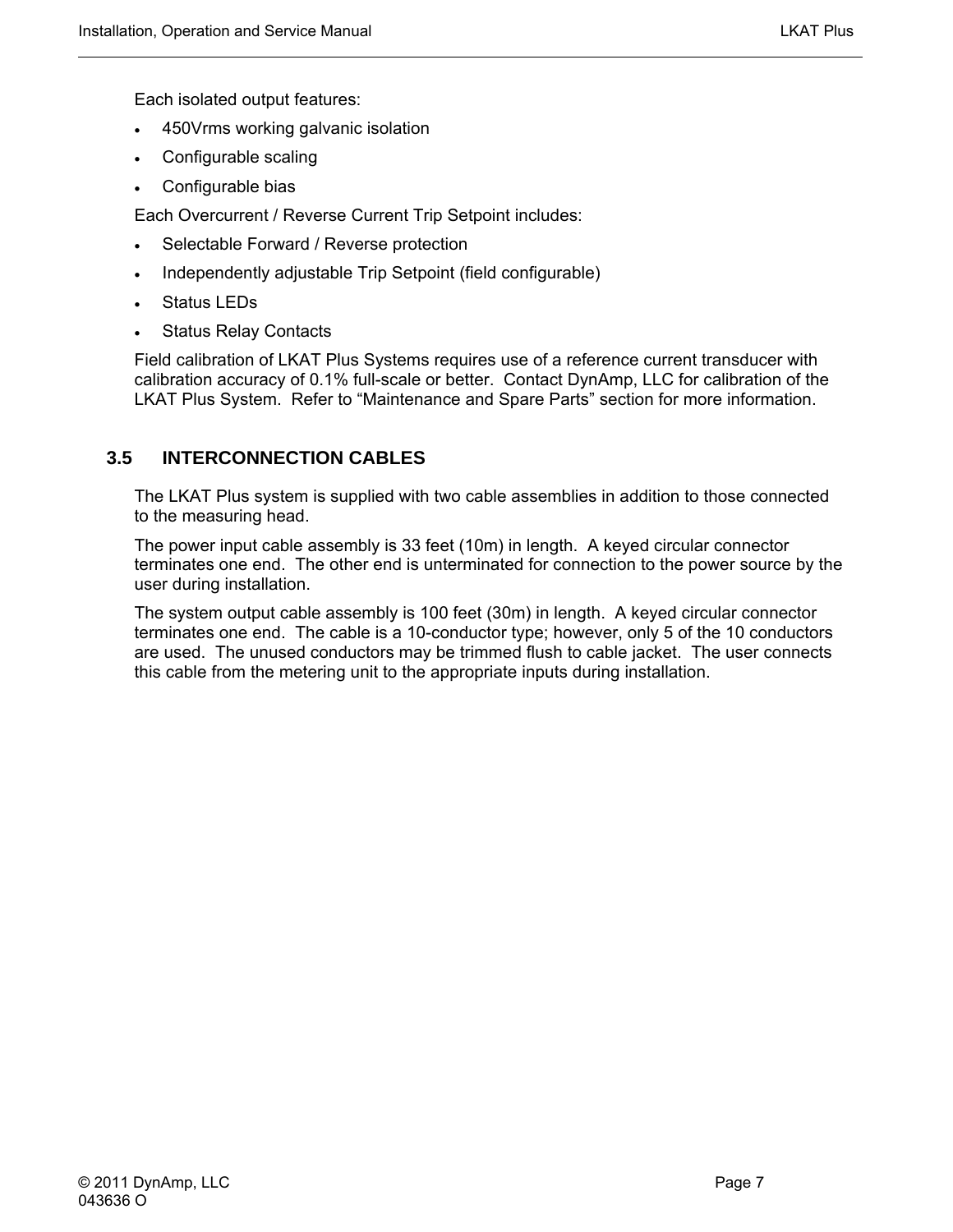<span id="page-20-0"></span>Each isolated output features:

- 450Vrms working galvanic isolation
- Configurable scaling
- Configurable bias

Each Overcurrent / Reverse Current Trip Setpoint includes:

- Selectable Forward / Reverse protection
- Independently adjustable Trip Setpoint (field configurable)
- Status LEDs
- **Status Relay Contacts**

Field calibration of LKAT Plus Systems requires use of a reference current transducer with calibration accuracy of 0.1% full-scale or better. Contact DynAmp, LLC for calibration of the LKAT Plus System. Refer to "Maintenance and Spare Parts" section for more information.

#### **3.5 INTERCONNECTION CABLES**

The LKAT Plus system is supplied with two cable assemblies in addition to those connected to the measuring head.

The power input cable assembly is 33 feet (10m) in length. A keyed circular connector terminates one end. The other end is unterminated for connection to the power source by the user during installation.

The system output cable assembly is 100 feet (30m) in length. A keyed circular connector terminates one end. The cable is a 10-conductor type; however, only 5 of the 10 conductors are used. The unused conductors may be trimmed flush to cable jacket. The user connects this cable from the metering unit to the appropriate inputs during installation.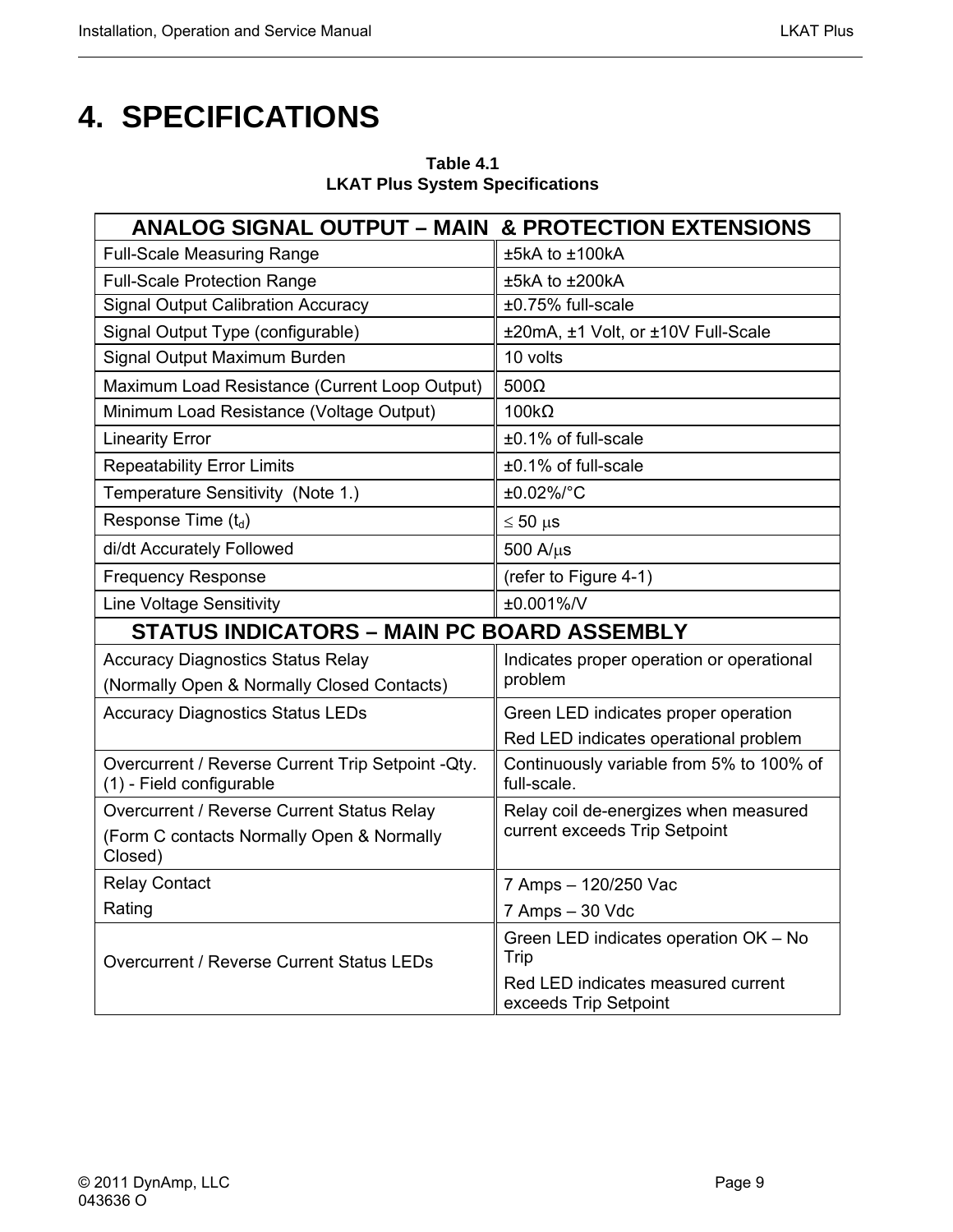<span id="page-22-0"></span>

| <b>ANALOG SIGNAL OUTPUT – MAIN &amp; PROTECTION EXTENSIONS</b>                 |                                                             |  |  |
|--------------------------------------------------------------------------------|-------------------------------------------------------------|--|--|
| <b>Full-Scale Measuring Range</b>                                              | ±5kA to ±100kA                                              |  |  |
| <b>Full-Scale Protection Range</b>                                             | ±5kA to ±200kA                                              |  |  |
| <b>Signal Output Calibration Accuracy</b>                                      | ±0.75% full-scale                                           |  |  |
| Signal Output Type (configurable)                                              | ±20mA, ±1 Volt, or ±10V Full-Scale                          |  |  |
| Signal Output Maximum Burden                                                   | 10 volts                                                    |  |  |
| Maximum Load Resistance (Current Loop Output)                                  | $500\Omega$                                                 |  |  |
| Minimum Load Resistance (Voltage Output)                                       | $100k\Omega$                                                |  |  |
| <b>Linearity Error</b>                                                         | ±0.1% of full-scale                                         |  |  |
| <b>Repeatability Error Limits</b>                                              | ±0.1% of full-scale                                         |  |  |
| Temperature Sensitivity (Note 1.)                                              | ±0.02%/°C                                                   |  |  |
| Response Time $(t_d)$                                                          | $\leq 50 \,\mu s$                                           |  |  |
| di/dt Accurately Followed                                                      | $500$ A/ $\mu$ s                                            |  |  |
| <b>Frequency Response</b>                                                      | (refer to Figure 4-1)                                       |  |  |
| <b>Line Voltage Sensitivity</b>                                                | ±0.001%/V                                                   |  |  |
| <b>STATUS INDICATORS - MAIN PC BOARD ASSEMBLY</b>                              |                                                             |  |  |
| <b>Accuracy Diagnostics Status Relay</b>                                       | Indicates proper operation or operational                   |  |  |
| (Normally Open & Normally Closed Contacts)                                     | problem                                                     |  |  |
| <b>Accuracy Diagnostics Status LEDs</b>                                        | Green LED indicates proper operation                        |  |  |
|                                                                                | Red LED indicates operational problem                       |  |  |
| Overcurrent / Reverse Current Trip Setpoint - Qty.<br>(1) - Field configurable | Continuously variable from 5% to 100% of<br>full-scale.     |  |  |
| Overcurrent / Reverse Current Status Relay                                     | Relay coil de-energizes when measured                       |  |  |
| (Form C contacts Normally Open & Normally<br>Closed)                           | current exceeds Trip Setpoint                               |  |  |
| <b>Relay Contact</b>                                                           | 7 Amps - 120/250 Vac                                        |  |  |
| Rating                                                                         | 7 Amps - 30 Vdc                                             |  |  |
| Overcurrent / Reverse Current Status LEDs                                      | Green LED indicates operation OK - No<br>Trip               |  |  |
|                                                                                | Red LED indicates measured current<br>exceeds Trip Setpoint |  |  |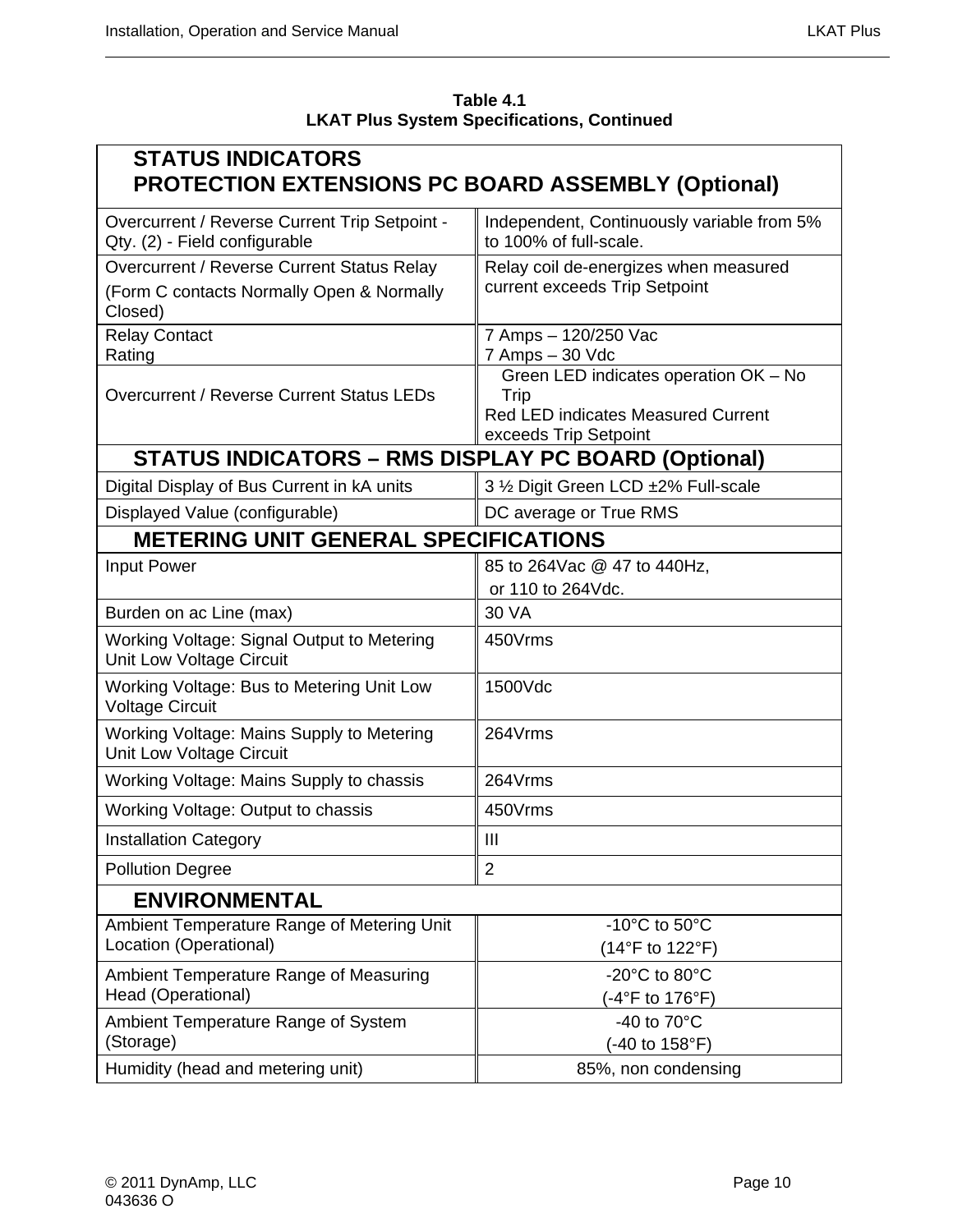| Table 4.1                                         |
|---------------------------------------------------|
| <b>LKAT Plus System Specifications, Continued</b> |

<span id="page-23-0"></span>

| <b>STATUS INDICATORS</b><br><b>PROTECTION EXTENSIONS PC BOARD ASSEMBLY (Optional)</b>              |                                                                                                                     |
|----------------------------------------------------------------------------------------------------|---------------------------------------------------------------------------------------------------------------------|
| Overcurrent / Reverse Current Trip Setpoint -<br>Qty. (2) - Field configurable                     | Independent, Continuously variable from 5%<br>to 100% of full-scale.                                                |
| Overcurrent / Reverse Current Status Relay<br>(Form C contacts Normally Open & Normally<br>Closed) | Relay coil de-energizes when measured<br>current exceeds Trip Setpoint                                              |
| <b>Relay Contact</b><br>Rating                                                                     | 7 Amps - 120/250 Vac<br>7 Amps - 30 Vdc                                                                             |
| Overcurrent / Reverse Current Status LEDs                                                          | Green LED indicates operation OK - No<br>Trip<br><b>Red LED indicates Measured Current</b><br>exceeds Trip Setpoint |
| <b>STATUS INDICATORS - RMS DISPLAY PC BOARD (Optional)</b>                                         |                                                                                                                     |
| Digital Display of Bus Current in kA units                                                         | 3 1/2 Digit Green LCD ±2% Full-scale                                                                                |
| Displayed Value (configurable)                                                                     | DC average or True RMS                                                                                              |
| <b>METERING UNIT GENERAL SPECIFICATIONS</b>                                                        |                                                                                                                     |
| Input Power                                                                                        | 85 to 264 Vac @ 47 to 440 Hz,                                                                                       |
|                                                                                                    | or 110 to 264Vdc.                                                                                                   |
| Burden on ac Line (max)                                                                            | 30 VA                                                                                                               |
| Working Voltage: Signal Output to Metering<br>Unit Low Voltage Circuit                             | 450Vrms                                                                                                             |
| Working Voltage: Bus to Metering Unit Low<br><b>Voltage Circuit</b>                                | 1500Vdc                                                                                                             |
| Working Voltage: Mains Supply to Metering<br>Unit Low Voltage Circuit                              | 264Vrms                                                                                                             |
| Working Voltage: Mains Supply to chassis                                                           | 264Vrms                                                                                                             |
| Working Voltage: Output to chassis                                                                 | 450Vrms                                                                                                             |
| <b>Installation Category</b>                                                                       | Ш                                                                                                                   |
| <b>Pollution Degree</b>                                                                            | $\overline{2}$                                                                                                      |
| <b>ENVIRONMENTAL</b>                                                                               |                                                                                                                     |
| Ambient Temperature Range of Metering Unit                                                         | -10°C to 50°C                                                                                                       |
| Location (Operational)                                                                             | (14°F to 122°F)                                                                                                     |
| Ambient Temperature Range of Measuring<br>Head (Operational)                                       | -20 $^{\circ}$ C to 80 $^{\circ}$ C<br>(-4°F to 176°F)                                                              |
| Ambient Temperature Range of System                                                                | -40 to $70^{\circ}$ C                                                                                               |
| (Storage)                                                                                          | (-40 to 158°F)                                                                                                      |
| Humidity (head and metering unit)                                                                  | 85%, non condensing                                                                                                 |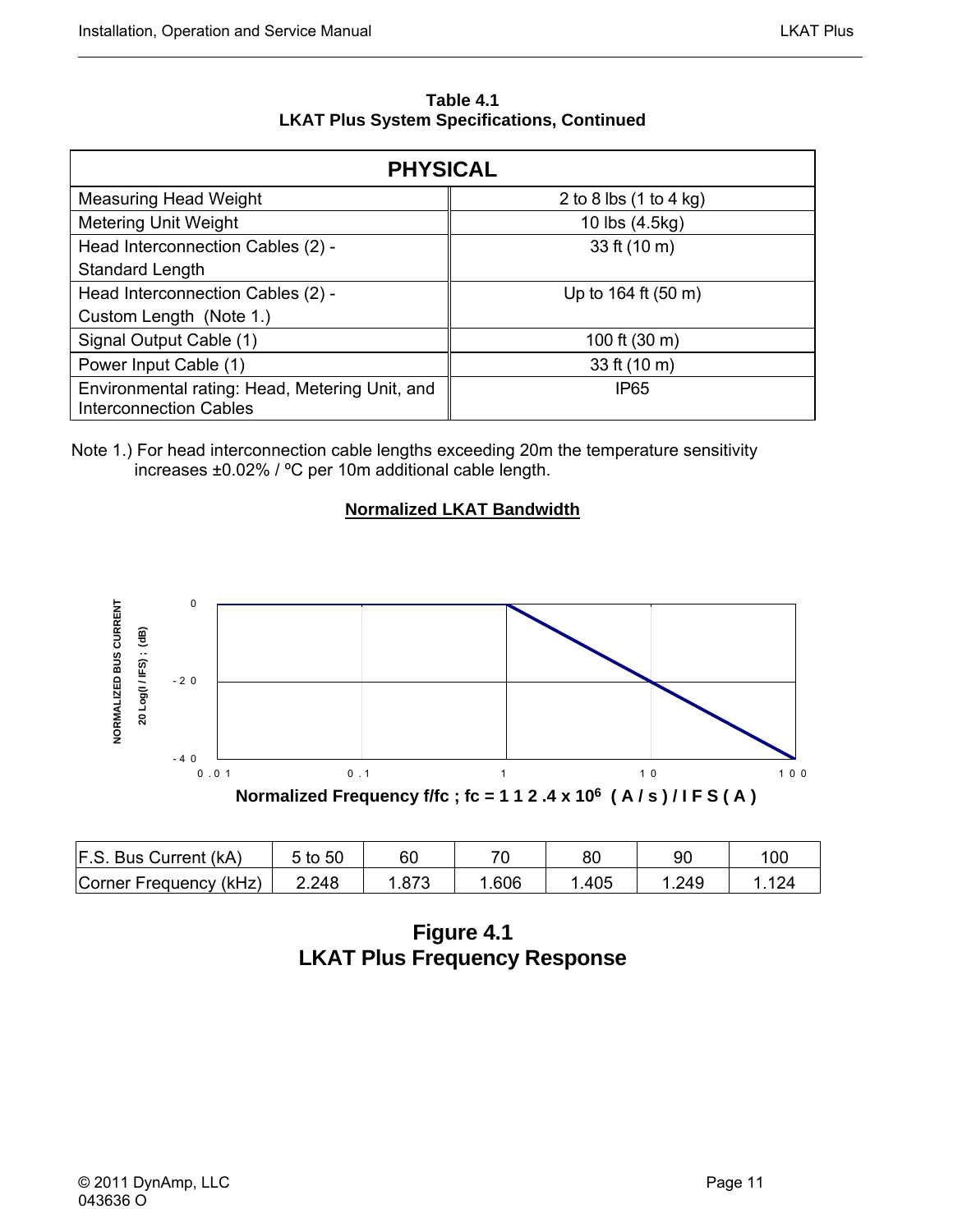**Table 4.1 LKAT Plus System Specifications, Continued** 

<span id="page-24-0"></span>

| <b>PHYSICAL</b>                                                                 |                        |  |  |  |  |
|---------------------------------------------------------------------------------|------------------------|--|--|--|--|
| <b>Measuring Head Weight</b>                                                    | 2 to 8 lbs (1 to 4 kg) |  |  |  |  |
| <b>Metering Unit Weight</b>                                                     | 10 lbs (4.5kg)         |  |  |  |  |
| Head Interconnection Cables (2) -                                               | 33 ft (10 m)           |  |  |  |  |
| <b>Standard Length</b>                                                          |                        |  |  |  |  |
| Head Interconnection Cables (2) -                                               | Up to 164 ft (50 m)    |  |  |  |  |
| Custom Length (Note 1.)                                                         |                        |  |  |  |  |
| Signal Output Cable (1)                                                         | 100 ft (30 m)          |  |  |  |  |
| Power Input Cable (1)                                                           | 33 ft (10 m)           |  |  |  |  |
| Environmental rating: Head, Metering Unit, and<br><b>Interconnection Cables</b> | <b>IP65</b>            |  |  |  |  |

Note 1.) For head interconnection cable lengths exceeding 20m the temperature sensitivity increases ±0.02% / ºC per 10m additional cable length.

#### **Normalized LKAT Bandwidth**



| F.S. Bus Current (kA)  | 5 to 50 | 60   | 71   | 80   | 90   | 100 |
|------------------------|---------|------|------|------|------|-----|
| Corner Frequency (kHz) | 2.248   | .873 | .606 | .405 | .249 |     |

**Figure 4.1 LKAT Plus Frequency Response**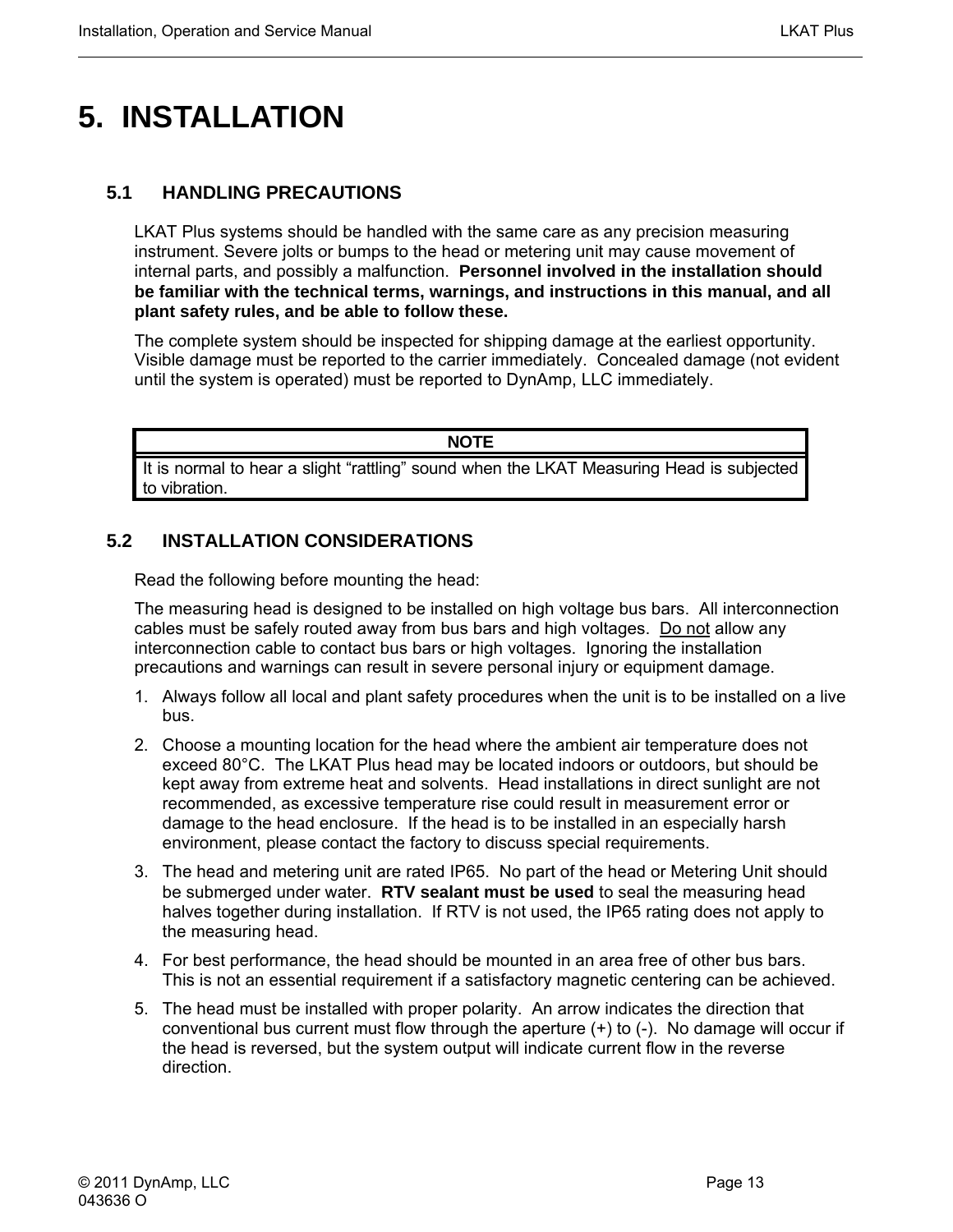# <span id="page-26-0"></span>**5. INSTALLATION**

#### **5.1 HANDLING PRECAUTIONS**

LKAT Plus systems should be handled with the same care as any precision measuring instrument. Severe jolts or bumps to the head or metering unit may cause movement of internal parts, and possibly a malfunction. **Personnel involved in the installation should be familiar with the technical terms, warnings, and instructions in this manual, and all plant safety rules, and be able to follow these.**

The complete system should be inspected for shipping damage at the earliest opportunity. Visible damage must be reported to the carrier immediately. Concealed damage (not evident until the system is operated) must be reported to DynAmp, LLC immediately.

**NOTE**

It is normal to hear a slight "rattling" sound when the LKAT Measuring Head is subjected to vibration.

#### **5.2 INSTALLATION CONSIDERATIONS**

Read the following before mounting the head:

The measuring head is designed to be installed on high voltage bus bars. All interconnection cables must be safely routed away from bus bars and high voltages. Do not allow any interconnection cable to contact bus bars or high voltages. Ignoring the installation precautions and warnings can result in severe personal injury or equipment damage.

- 1. Always follow all local and plant safety procedures when the unit is to be installed on a live bus.
- 2. Choose a mounting location for the head where the ambient air temperature does not exceed 80°C. The LKAT Plus head may be located indoors or outdoors, but should be kept away from extreme heat and solvents. Head installations in direct sunlight are not recommended, as excessive temperature rise could result in measurement error or damage to the head enclosure. If the head is to be installed in an especially harsh environment, please contact the factory to discuss special requirements.
- 3. The head and metering unit are rated IP65. No part of the head or Metering Unit should be submerged under water. **RTV sealant must be used** to seal the measuring head halves together during installation. If RTV is not used, the IP65 rating does not apply to the measuring head.
- 4. For best performance, the head should be mounted in an area free of other bus bars. This is not an essential requirement if a satisfactory magnetic centering can be achieved.
- 5. The head must be installed with proper polarity. An arrow indicates the direction that conventional bus current must flow through the aperture (+) to (-). No damage will occur if the head is reversed, but the system output will indicate current flow in the reverse direction.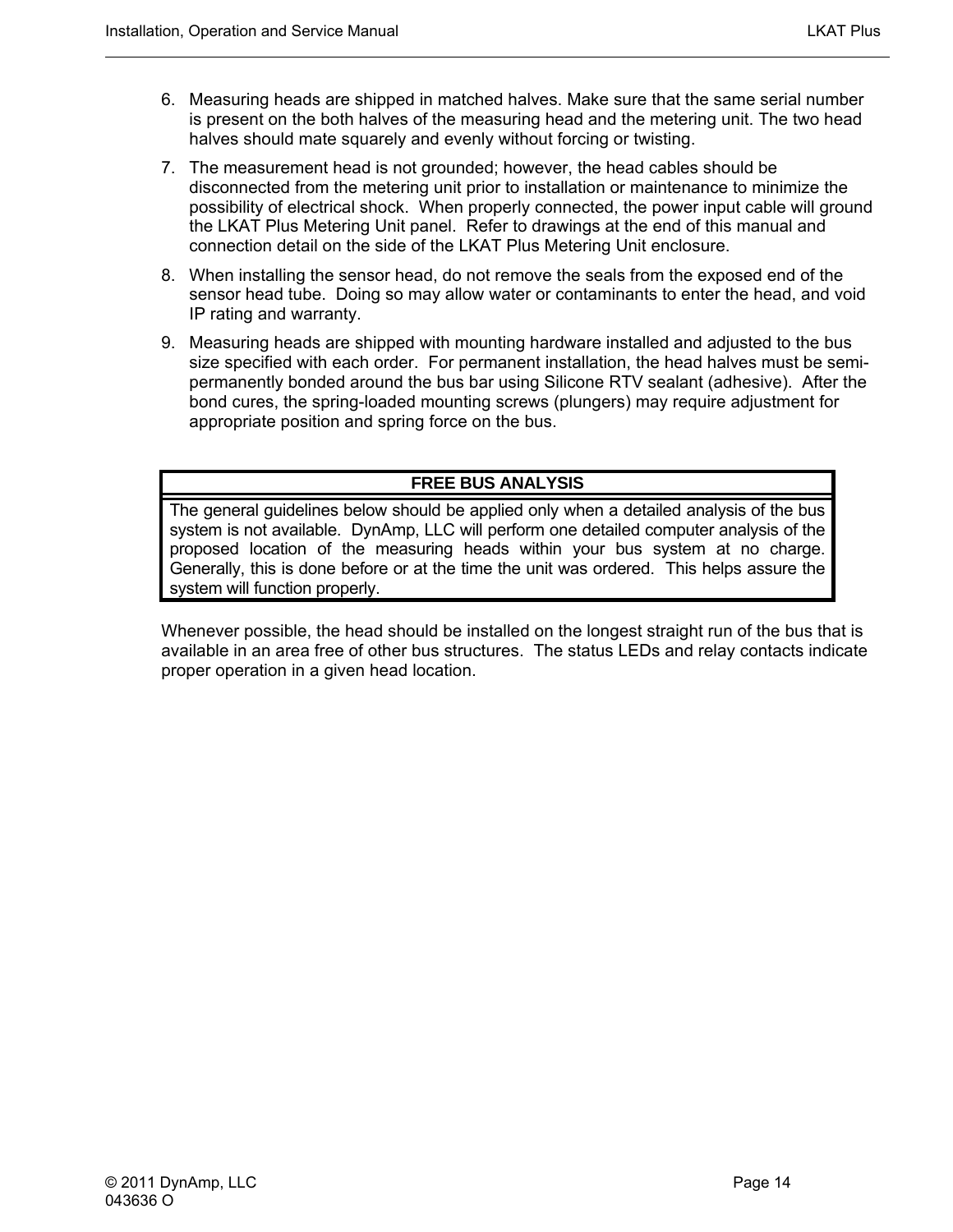- 6. Measuring heads are shipped in matched halves. Make sure that the same serial number is present on the both halves of the measuring head and the metering unit. The two head halves should mate squarely and evenly without forcing or twisting.
- 7. The measurement head is not grounded; however, the head cables should be disconnected from the metering unit prior to installation or maintenance to minimize the possibility of electrical shock. When properly connected, the power input cable will ground the LKAT Plus Metering Unit panel. Refer to drawings at the end of this manual and connection detail on the side of the LKAT Plus Metering Unit enclosure.
- 8. When installing the sensor head, do not remove the seals from the exposed end of the sensor head tube. Doing so may allow water or contaminants to enter the head, and void IP rating and warranty.
- 9. Measuring heads are shipped with mounting hardware installed and adjusted to the bus size specified with each order. For permanent installation, the head halves must be semipermanently bonded around the bus bar using Silicone RTV sealant (adhesive). After the bond cures, the spring-loaded mounting screws (plungers) may require adjustment for appropriate position and spring force on the bus.

#### **FREE BUS ANALYSIS**

The general guidelines below should be applied only when a detailed analysis of the bus system is not available. DynAmp, LLC will perform one detailed computer analysis of the proposed location of the measuring heads within your bus system at no charge. Generally, this is done before or at the time the unit was ordered. This helps assure the system will function properly.

Whenever possible, the head should be installed on the longest straight run of the bus that is available in an area free of other bus structures. The status LEDs and relay contacts indicate proper operation in a given head location.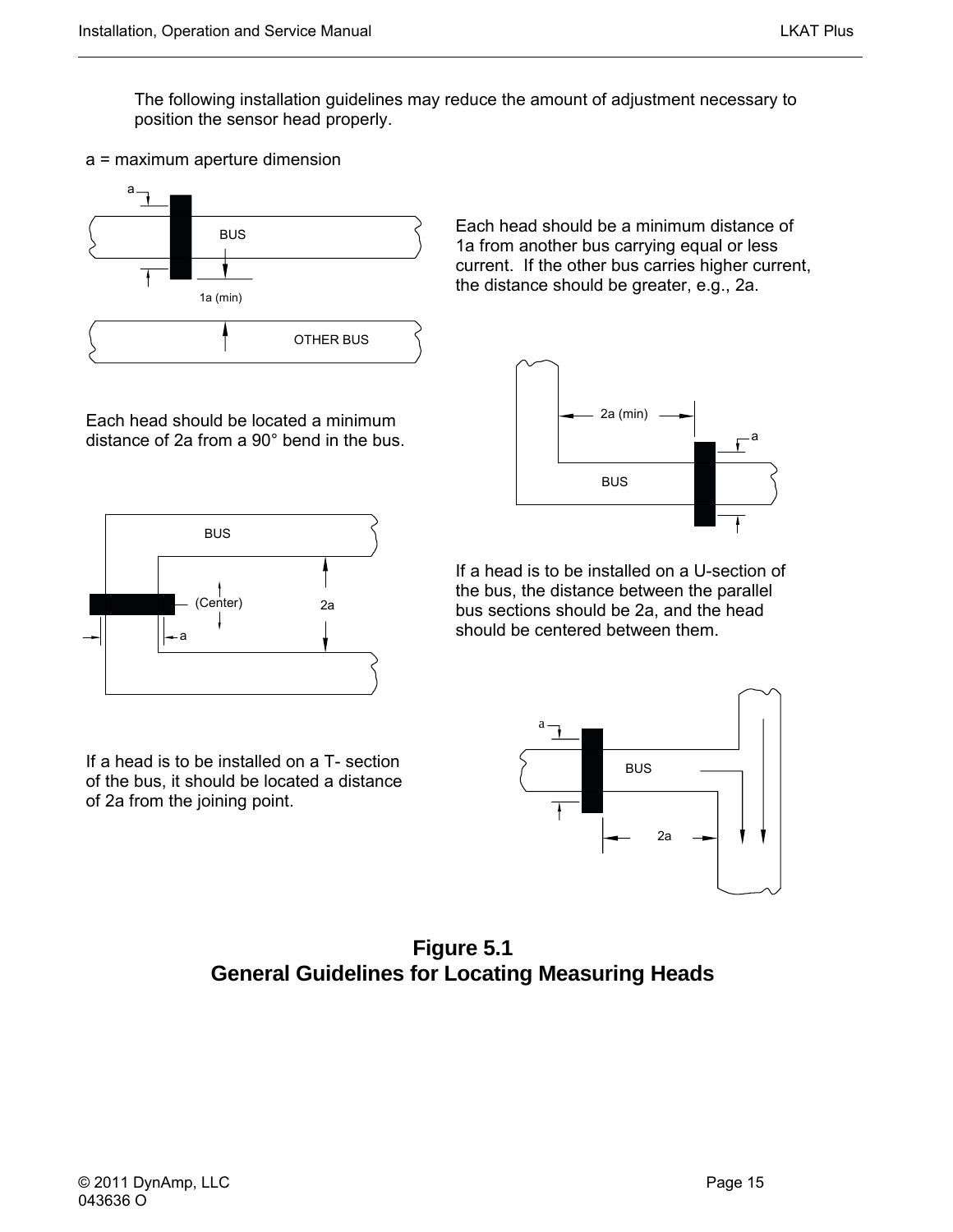<span id="page-28-0"></span>The following installation guidelines may reduce the amount of adjustment necessary to position the sensor head properly.





Each head should be located a minimum distance of 2a from a 90° bend in the bus.







If a head is to be installed on a T- section of the bus, it should be located a distance of 2a from the joining point.

If a head is to be installed on a U-section of the bus, the distance between the parallel bus sections should be 2a, and the head should be centered between them.



**Figure 5.1 General Guidelines for Locating Measuring Heads**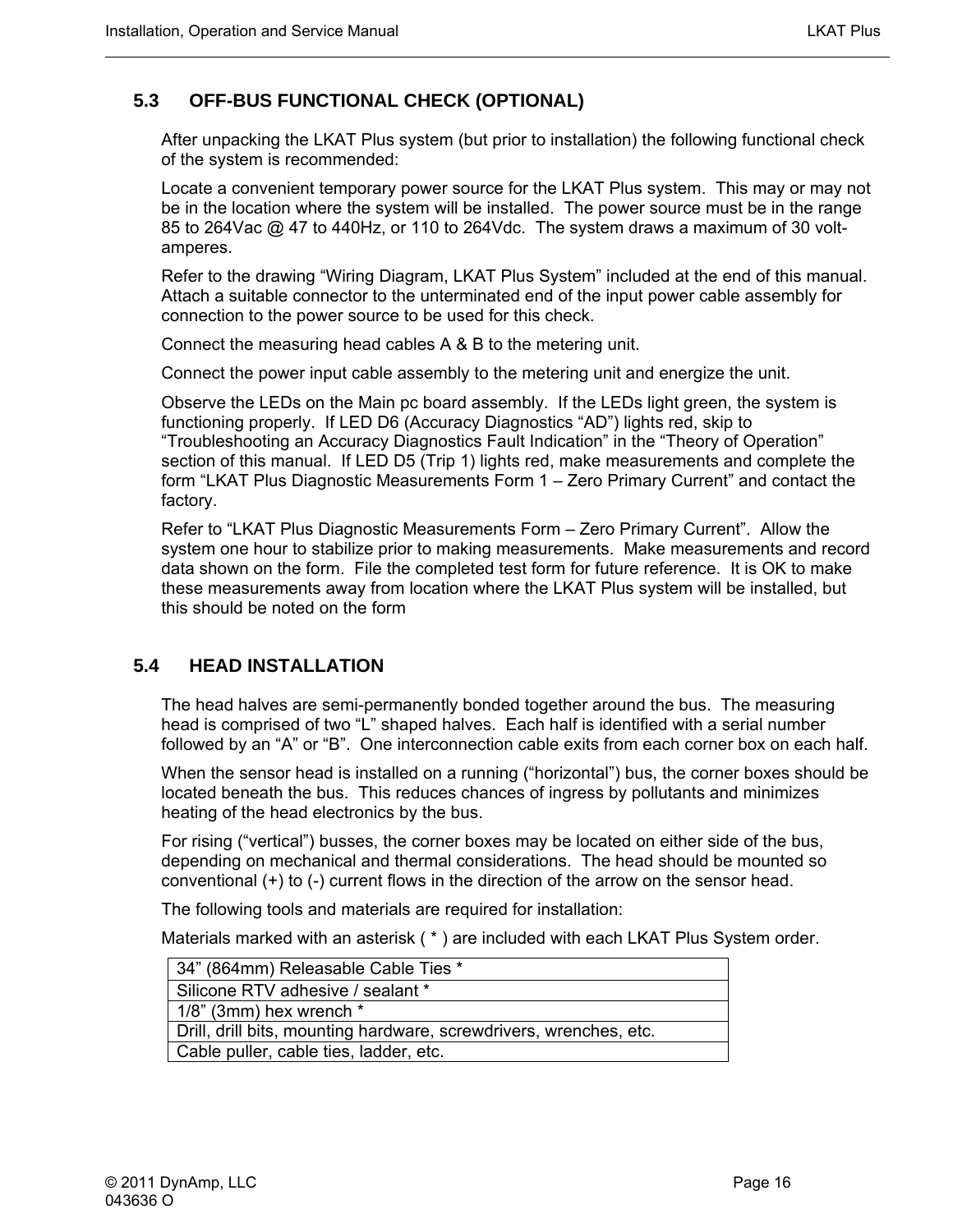#### <span id="page-29-0"></span>**5.3 OFF-BUS FUNCTIONAL CHECK (OPTIONAL)**

After unpacking the LKAT Plus system (but prior to installation) the following functional check of the system is recommended:

Locate a convenient temporary power source for the LKAT Plus system. This may or may not be in the location where the system will be installed. The power source must be in the range 85 to 264Vac @ 47 to 440Hz, or 110 to 264Vdc. The system draws a maximum of 30 voltamperes.

Refer to the drawing "Wiring Diagram, LKAT Plus System" included at the end of this manual. Attach a suitable connector to the unterminated end of the input power cable assembly for connection to the power source to be used for this check.

Connect the measuring head cables A & B to the metering unit.

Connect the power input cable assembly to the metering unit and energize the unit.

Observe the LEDs on the Main pc board assembly. If the LEDs light green, the system is functioning properly. If LED D6 (Accuracy Diagnostics "AD") lights red, skip to "Troubleshooting an Accuracy Diagnostics Fault Indication" in the "Theory of Operation" section of this manual. If LED D5 (Trip 1) lights red, make measurements and complete the form "LKAT Plus Diagnostic Measurements Form 1 – Zero Primary Current" and contact the factory.

Refer to "LKAT Plus Diagnostic Measurements Form – Zero Primary Current". Allow the system one hour to stabilize prior to making measurements. Make measurements and record data shown on the form. File the completed test form for future reference. It is OK to make these measurements away from location where the LKAT Plus system will be installed, but this should be noted on the form

#### **5.4 HEAD INSTALLATION**

The head halves are semi-permanently bonded together around the bus. The measuring head is comprised of two "L" shaped halves. Each half is identified with a serial number followed by an "A" or "B". One interconnection cable exits from each corner box on each half.

When the sensor head is installed on a running ("horizontal") bus, the corner boxes should be located beneath the bus. This reduces chances of ingress by pollutants and minimizes heating of the head electronics by the bus.

For rising ("vertical") busses, the corner boxes may be located on either side of the bus, depending on mechanical and thermal considerations. The head should be mounted so conventional (+) to (-) current flows in the direction of the arrow on the sensor head.

The following tools and materials are required for installation:

Materials marked with an asterisk ( \* ) are included with each LKAT Plus System order.

| 34" (864mm) Releasable Cable Ties *                                |
|--------------------------------------------------------------------|
| Silicone RTV adhesive / sealant *                                  |
| $1/8$ " (3mm) hex wrench $*$                                       |
| Drill, drill bits, mounting hardware, screwdrivers, wrenches, etc. |
| Cable puller, cable ties, ladder, etc.                             |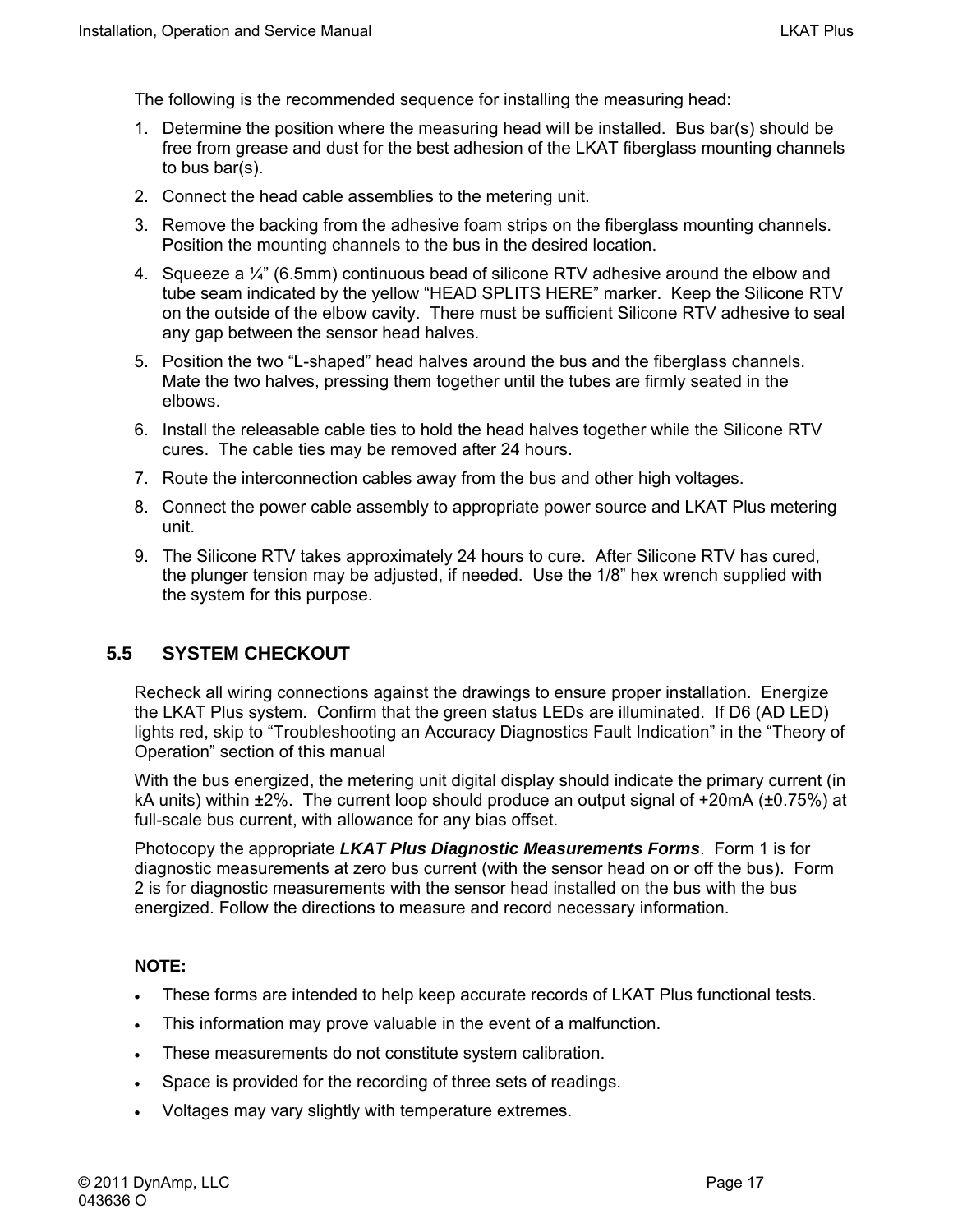<span id="page-30-0"></span>The following is the recommended sequence for installing the measuring head:

- 1. Determine the position where the measuring head will be installed. Bus bar(s) should be free from grease and dust for the best adhesion of the LKAT fiberglass mounting channels to bus bar(s).
- 2. Connect the head cable assemblies to the metering unit.
- 3. Remove the backing from the adhesive foam strips on the fiberglass mounting channels. Position the mounting channels to the bus in the desired location.
- 4. Squeeze a ¼" (6.5mm) continuous bead of silicone RTV adhesive around the elbow and tube seam indicated by the yellow "HEAD SPLITS HERE" marker. Keep the Silicone RTV on the outside of the elbow cavity. There must be sufficient Silicone RTV adhesive to seal any gap between the sensor head halves.
- 5. Position the two "L-shaped" head halves around the bus and the fiberglass channels. Mate the two halves, pressing them together until the tubes are firmly seated in the elbows.
- 6. Install the releasable cable ties to hold the head halves together while the Silicone RTV cures. The cable ties may be removed after 24 hours.
- 7. Route the interconnection cables away from the bus and other high voltages.
- 8. Connect the power cable assembly to appropriate power source and LKAT Plus metering unit.
- 9. The Silicone RTV takes approximately 24 hours to cure. After Silicone RTV has cured, the plunger tension may be adjusted, if needed. Use the 1/8" hex wrench supplied with the system for this purpose.

#### **5.5 SYSTEM CHECKOUT**

Recheck all wiring connections against the drawings to ensure proper installation. Energize the LKAT Plus system. Confirm that the green status LEDs are illuminated. If D6 (AD LED) lights red, skip to "Troubleshooting an Accuracy Diagnostics Fault Indication" in the "Theory of Operation" section of this manual

With the bus energized, the metering unit digital display should indicate the primary current (in kA units) within ±2%. The current loop should produce an output signal of +20mA (±0.75%) at full-scale bus current, with allowance for any bias offset.

Photocopy the appropriate *LKAT Plus Diagnostic Measurements Forms*. Form 1 is for diagnostic measurements at zero bus current (with the sensor head on or off the bus). Form 2 is for diagnostic measurements with the sensor head installed on the bus with the bus energized. Follow the directions to measure and record necessary information.

#### **NOTE:**

- These forms are intended to help keep accurate records of LKAT Plus functional tests.
- This information may prove valuable in the event of a malfunction.
- These measurements do not constitute system calibration.
- Space is provided for the recording of three sets of readings.
- Voltages may vary slightly with temperature extremes.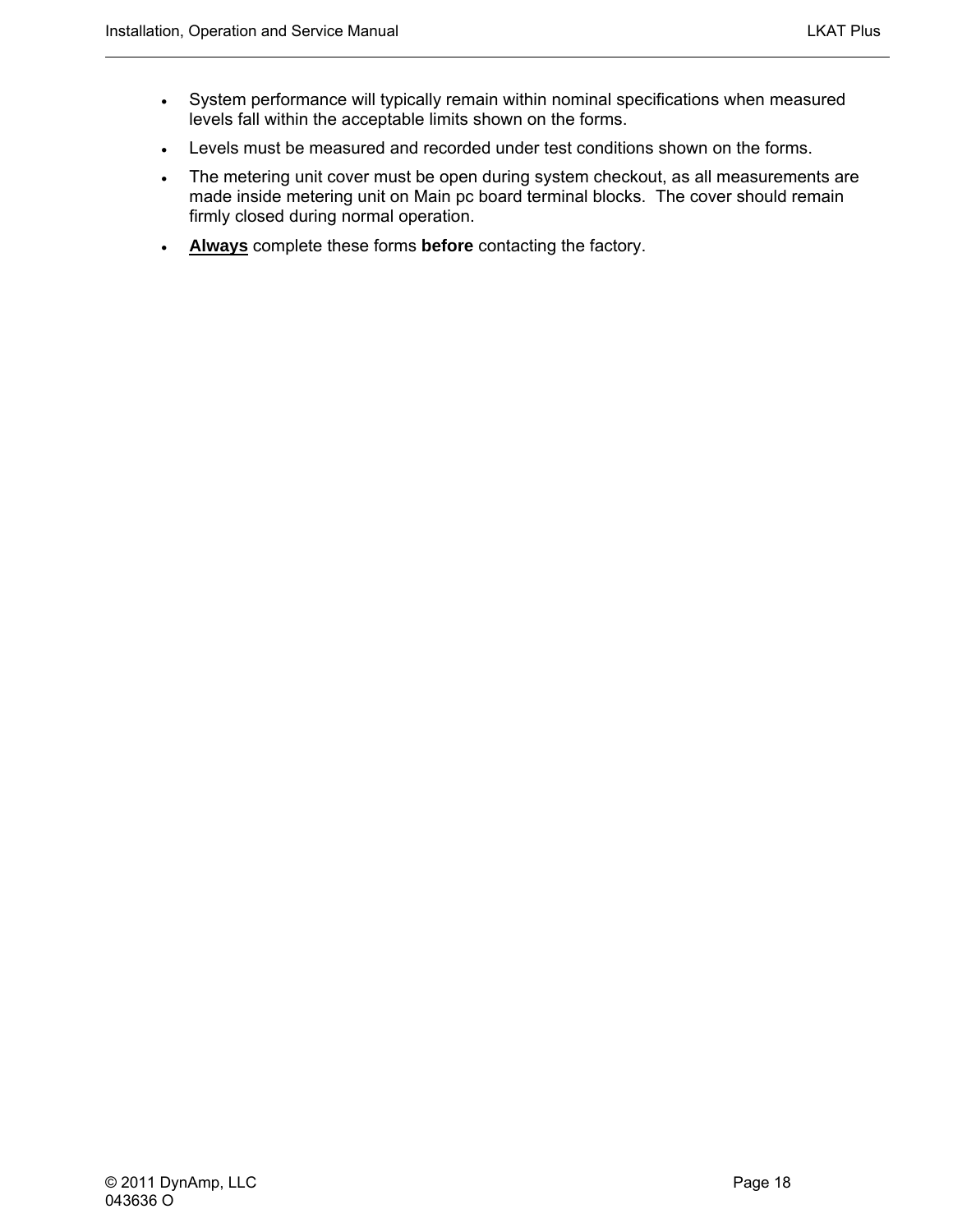- System performance will typically remain within nominal specifications when measured levels fall within the acceptable limits shown on the forms.
- Levels must be measured and recorded under test conditions shown on the forms.
- The metering unit cover must be open during system checkout, as all measurements are made inside metering unit on Main pc board terminal blocks. The cover should remain firmly closed during normal operation.
- **Always** complete these forms **before** contacting the factory.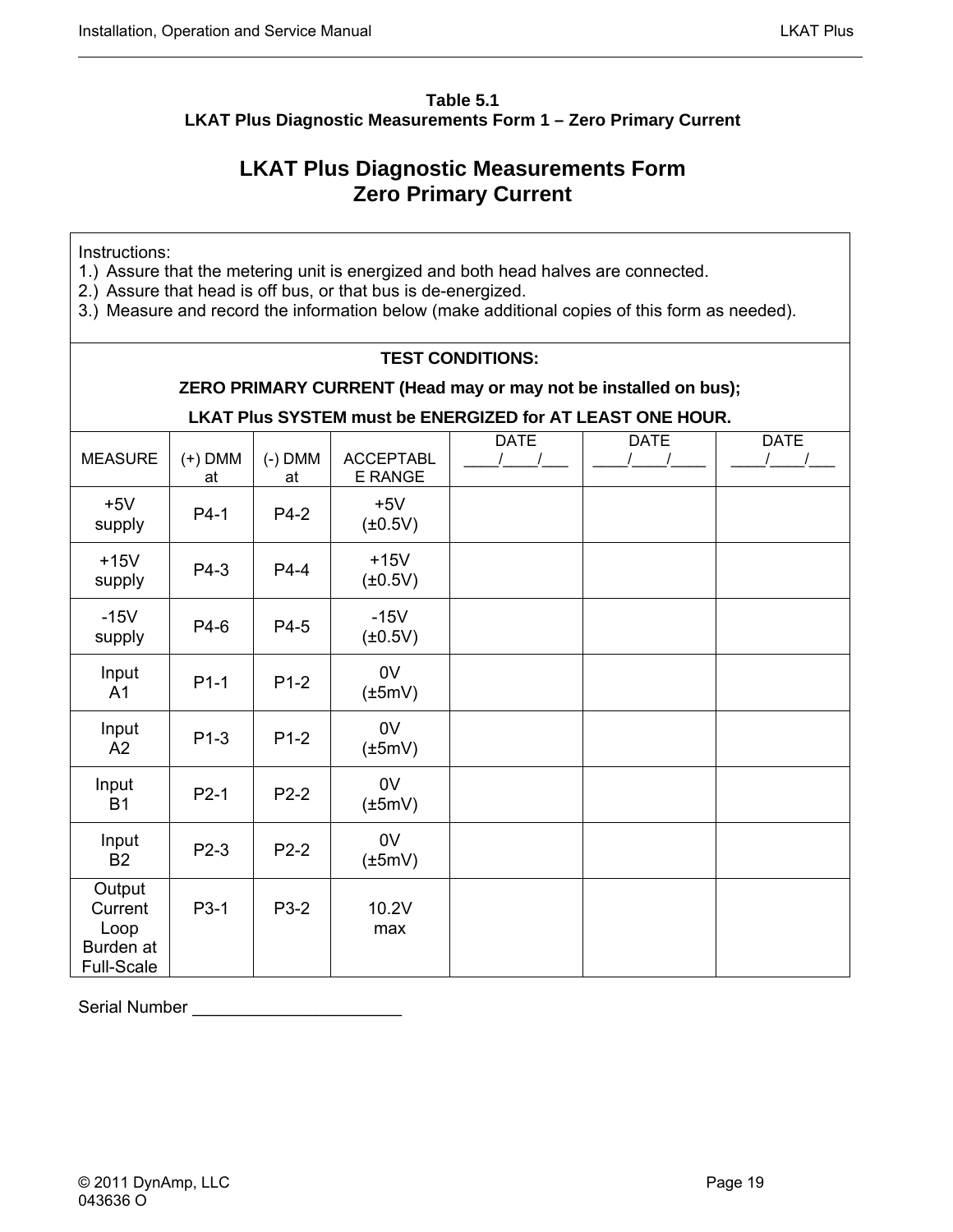#### <span id="page-32-0"></span>**Table 5.1 LKAT Plus Diagnostic Measurements Form 1 – Zero Primary Current**

### **LKAT Plus Diagnostic Measurements Form Zero Primary Current**

Instructions:

- 1.) Assure that the metering unit is energized and both head halves are connected.
- 2.) Assure that head is off bus, or that bus is de-energized.
- 3.) Measure and record the information below (make additional copies of this form as needed).

#### **TEST CONDITIONS:**

#### **ZERO PRIMARY CURRENT (Head may or may not be installed on bus);**

**LKAT Plus SYSTEM must be ENERGIZED for AT LEAST ONE HOUR.** 

| <b>MEASURE</b>                                              | $(+)$ DMM<br>at | $(-)$ DMM<br>at | <b>ACCEPTABL</b><br>E RANGE | <b>DATE</b> | <b>DATE</b> | <b>DATE</b><br>$\prime$ |
|-------------------------------------------------------------|-----------------|-----------------|-----------------------------|-------------|-------------|-------------------------|
| $+5V$<br>supply                                             | $P4-1$          | P4-2            | $+5V$<br>$(\pm 0.5V)$       |             |             |                         |
| $+15V$<br>supply                                            | P4-3            | $P4-4$          | $+15V$<br>$(\pm 0.5V)$      |             |             |                         |
| $-15V$<br>supply                                            | P4-6            | P4-5            | $-15V$<br>$(\pm 0.5V)$      |             |             |                         |
| Input<br>A <sub>1</sub>                                     | $P1-1$          | $P1-2$          | 0V<br>$(\pm 5mV)$           |             |             |                         |
| Input<br>A2                                                 | $P1-3$          | $P1-2$          | 0V<br>$(\pm 5mV)$           |             |             |                         |
| Input<br><b>B1</b>                                          | $P2-1$          | $P2-2$          | 0V<br>$(\pm 5mV)$           |             |             |                         |
| Input<br><b>B2</b>                                          | $P2-3$          | $P2-2$          | 0V<br>$(\pm 5mV)$           |             |             |                         |
| Output<br>Current<br>Loop<br>Burden at<br><b>Full-Scale</b> | P3-1            | P3-2            | 10.2V<br>max                |             |             |                         |

Serial Number **Exercise 20**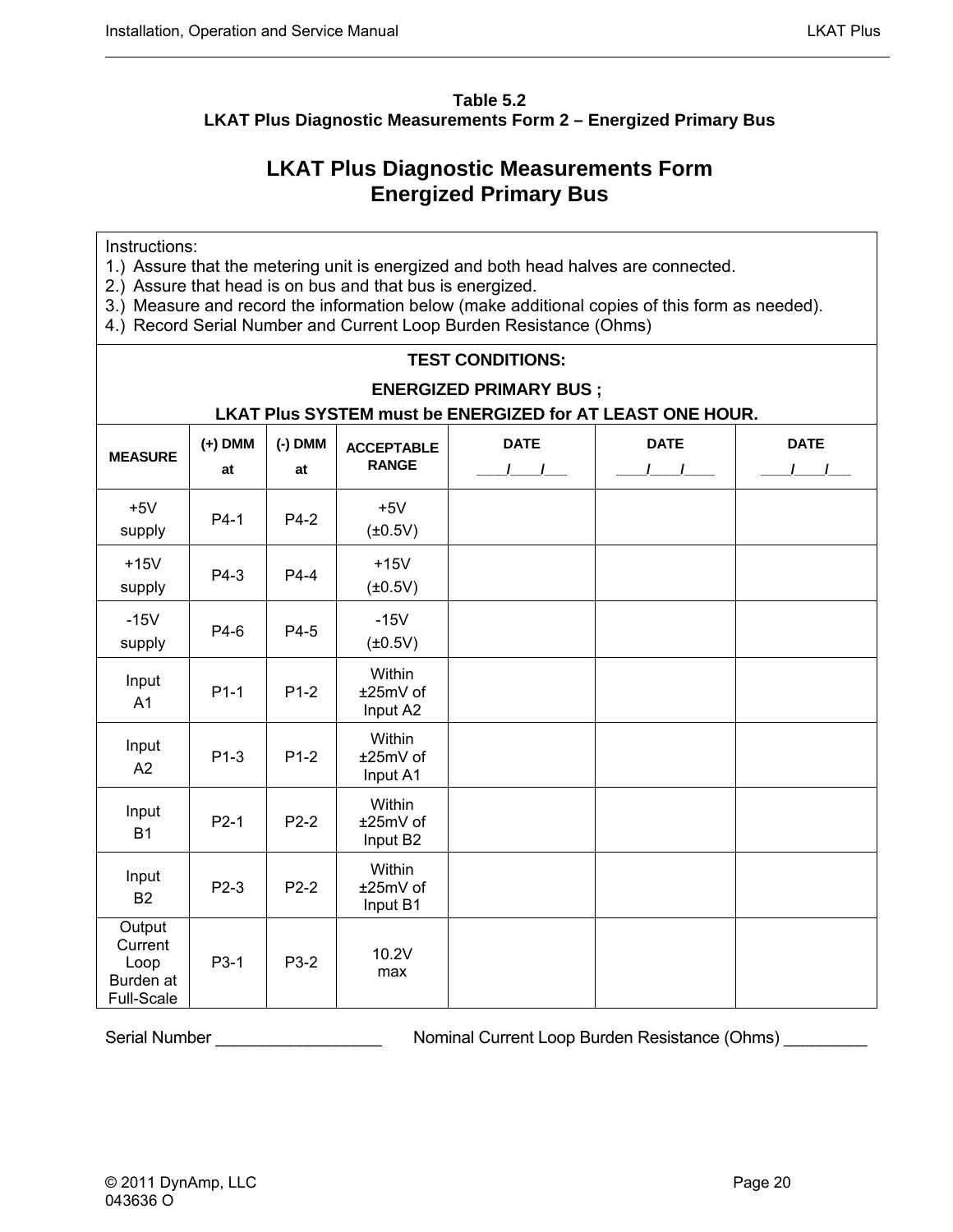#### <span id="page-33-0"></span>**Table 5.2 LKAT Plus Diagnostic Measurements Form 2 – Energized Primary Bus**

### **LKAT Plus Diagnostic Measurements Form Energized Primary Bus**

Instructions:

- 1.) Assure that the metering unit is energized and both head halves are connected.
- 2.) Assure that head is on bus and that bus is energized.
- 3.) Measure and record the information below (make additional copies of this form as needed).
- 4.) Record Serial Number and Current Loop Burden Resistance (Ohms)

| <b>TEST CONDITIONS:</b>                                   |           |              |                      |               |               |               |  |
|-----------------------------------------------------------|-----------|--------------|----------------------|---------------|---------------|---------------|--|
| <b>ENERGIZED PRIMARY BUS;</b>                             |           |              |                      |               |               |               |  |
| LKAT Plus SYSTEM must be ENERGIZED for AT LEAST ONE HOUR. |           |              |                      |               |               |               |  |
| <b>MEASURE</b>                                            | $(+)$ DMM | $(-)$ DMM    | <b>ACCEPTABLE</b>    | <b>DATE</b>   | <b>DATE</b>   | <b>DATE</b>   |  |
|                                                           | at        | at           | <b>RANGE</b>         | $\frac{1}{2}$ | $\frac{1}{2}$ | $\frac{1}{2}$ |  |
| $+5V$                                                     | $P4-1$    |              | $+5V$                |               |               |               |  |
| supply                                                    |           | P4-2         | $(\pm 0.5V)$         |               |               |               |  |
| $+15V$                                                    |           | P4-4         | $+15V$               |               |               |               |  |
| supply                                                    | P4-3      |              | $(\pm 0.5V)$         |               |               |               |  |
| $-15V$                                                    | P4-6      | P4-5         | $-15V$               |               |               |               |  |
| supply                                                    |           |              | $(\pm 0.5V)$         |               |               |               |  |
| Input<br>A <sub>1</sub>                                   | $P1-1$    | $P1-2$       | Within               |               |               |               |  |
|                                                           |           |              | ±25mV of<br>Input A2 |               |               |               |  |
| Input                                                     |           |              | Within               |               |               |               |  |
| A2                                                        | $P1-3$    | $P1-2$       | ±25mV of<br>Input A1 |               |               |               |  |
| Input                                                     |           | Within       |                      |               |               |               |  |
| <b>B1</b>                                                 | $P2-1$    | $P2-2$       | ±25mV of<br>Input B2 |               |               |               |  |
| Input<br><b>B2</b>                                        | $P2-3$    |              |                      | Within        |               |               |  |
|                                                           |           | $P2-2$       | ±25mV of<br>Input B1 |               |               |               |  |
| Output                                                    |           |              |                      |               |               |               |  |
| Current<br>Loop                                           |           | P3-1<br>P3-2 | 10.2V                |               |               |               |  |
| Burden at                                                 |           |              | max                  |               |               |               |  |
| <b>Full-Scale</b>                                         |           |              |                      |               |               |               |  |

Serial Number \_\_\_\_\_\_\_\_\_\_\_\_\_\_\_\_\_\_ Nominal Current Loop Burden Resistance (Ohms) \_\_\_\_\_\_\_\_\_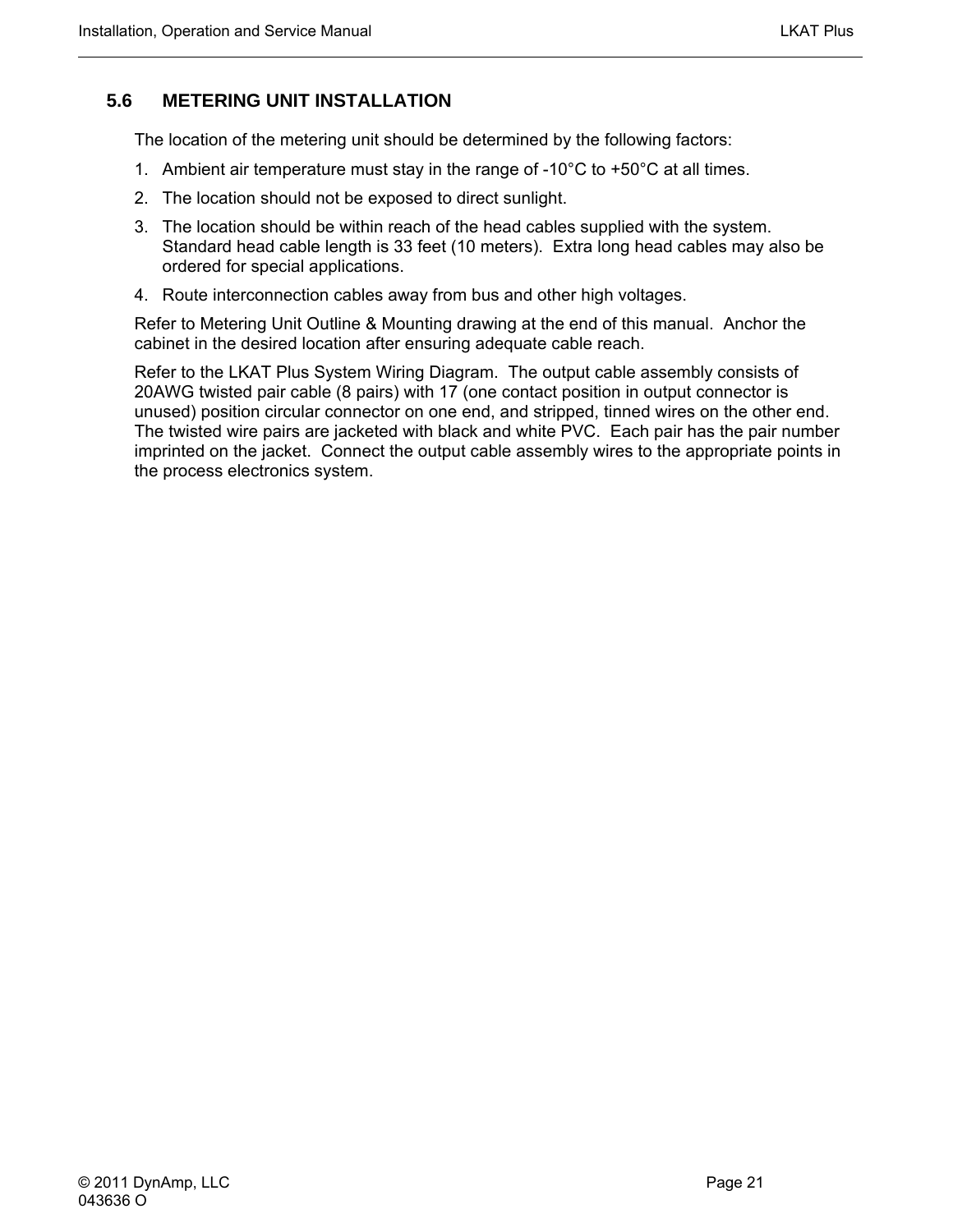#### <span id="page-34-0"></span>**5.6 METERING UNIT INSTALLATION**

The location of the metering unit should be determined by the following factors:

- 1. Ambient air temperature must stay in the range of -10 $^{\circ}$ C to +50 $^{\circ}$ C at all times.
- 2. The location should not be exposed to direct sunlight.
- 3. The location should be within reach of the head cables supplied with the system. Standard head cable length is 33 feet (10 meters). Extra long head cables may also be ordered for special applications.
- 4. Route interconnection cables away from bus and other high voltages.

Refer to Metering Unit Outline & Mounting drawing at the end of this manual. Anchor the cabinet in the desired location after ensuring adequate cable reach.

Refer to the LKAT Plus System Wiring Diagram. The output cable assembly consists of 20AWG twisted pair cable (8 pairs) with 17 (one contact position in output connector is unused) position circular connector on one end, and stripped, tinned wires on the other end. The twisted wire pairs are jacketed with black and white PVC. Each pair has the pair number imprinted on the jacket. Connect the output cable assembly wires to the appropriate points in the process electronics system.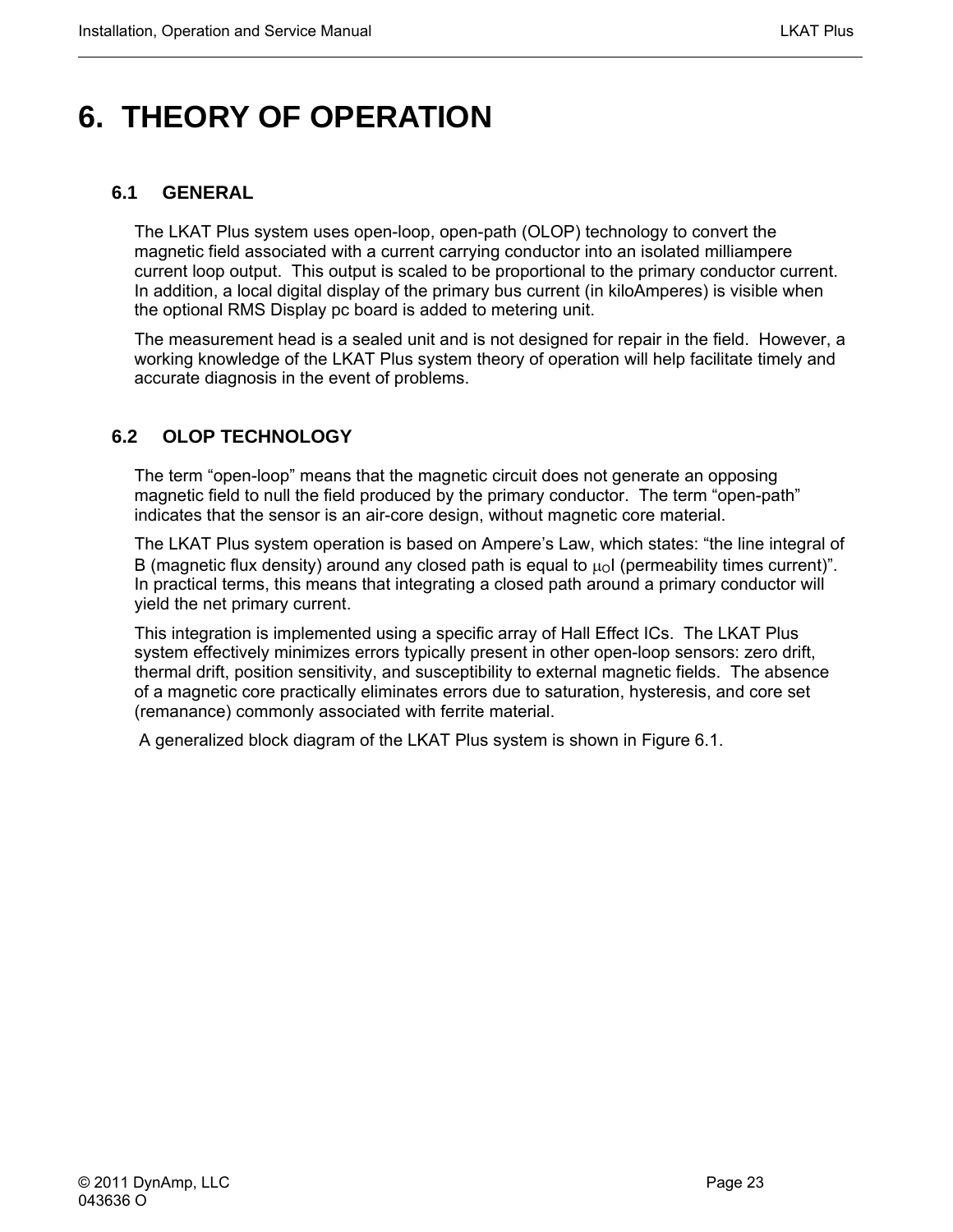# <span id="page-36-0"></span>**6. THEORY OF OPERATION**

#### **6.1 GENERAL**

The LKAT Plus system uses open-loop, open-path (OLOP) technology to convert the magnetic field associated with a current carrying conductor into an isolated milliampere current loop output. This output is scaled to be proportional to the primary conductor current. In addition, a local digital display of the primary bus current (in kiloAmperes) is visible when the optional RMS Display pc board is added to metering unit.

The measurement head is a sealed unit and is not designed for repair in the field. However, a working knowledge of the LKAT Plus system theory of operation will help facilitate timely and accurate diagnosis in the event of problems.

#### **6.2 OLOP TECHNOLOGY**

The term "open-loop" means that the magnetic circuit does not generate an opposing magnetic field to null the field produced by the primary conductor. The term "open-path" indicates that the sensor is an air-core design, without magnetic core material.

The LKAT Plus system operation is based on Ampere's Law, which states: "the line integral of B (magnetic flux density) around any closed path is equal to  $\mu_0$  (permeability times current)". In practical terms, this means that integrating a closed path around a primary conductor will yield the net primary current.

This integration is implemented using a specific array of Hall Effect ICs. The LKAT Plus system effectively minimizes errors typically present in other open-loop sensors: zero drift, thermal drift, position sensitivity, and susceptibility to external magnetic fields. The absence of a magnetic core practically eliminates errors due to saturation, hysteresis, and core set (remanance) commonly associated with ferrite material.

A generalized block diagram of the LKAT Plus system is shown in Figure 6.1.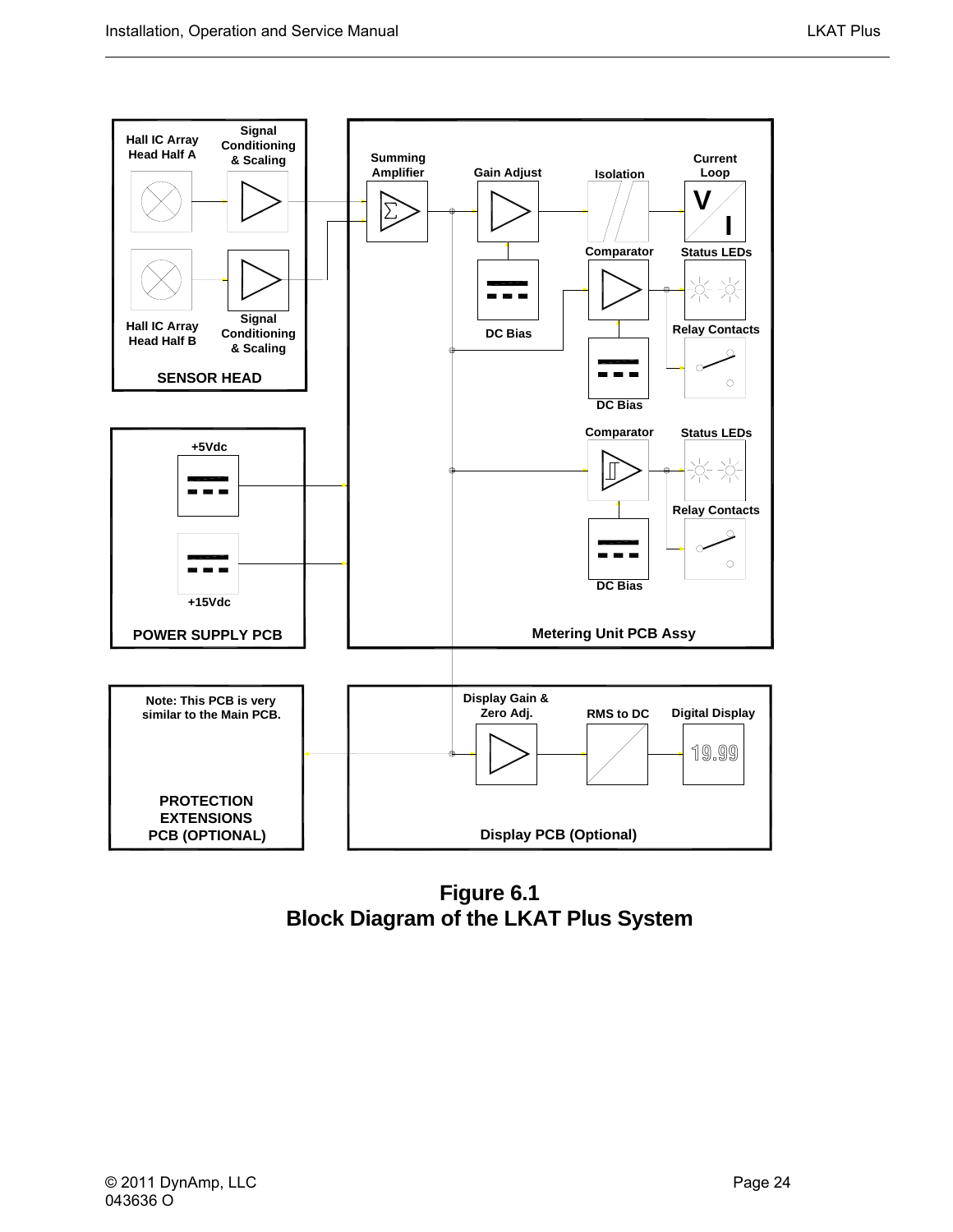<span id="page-37-0"></span>

**Figure 6.1 Block Diagram of the LKAT Plus System**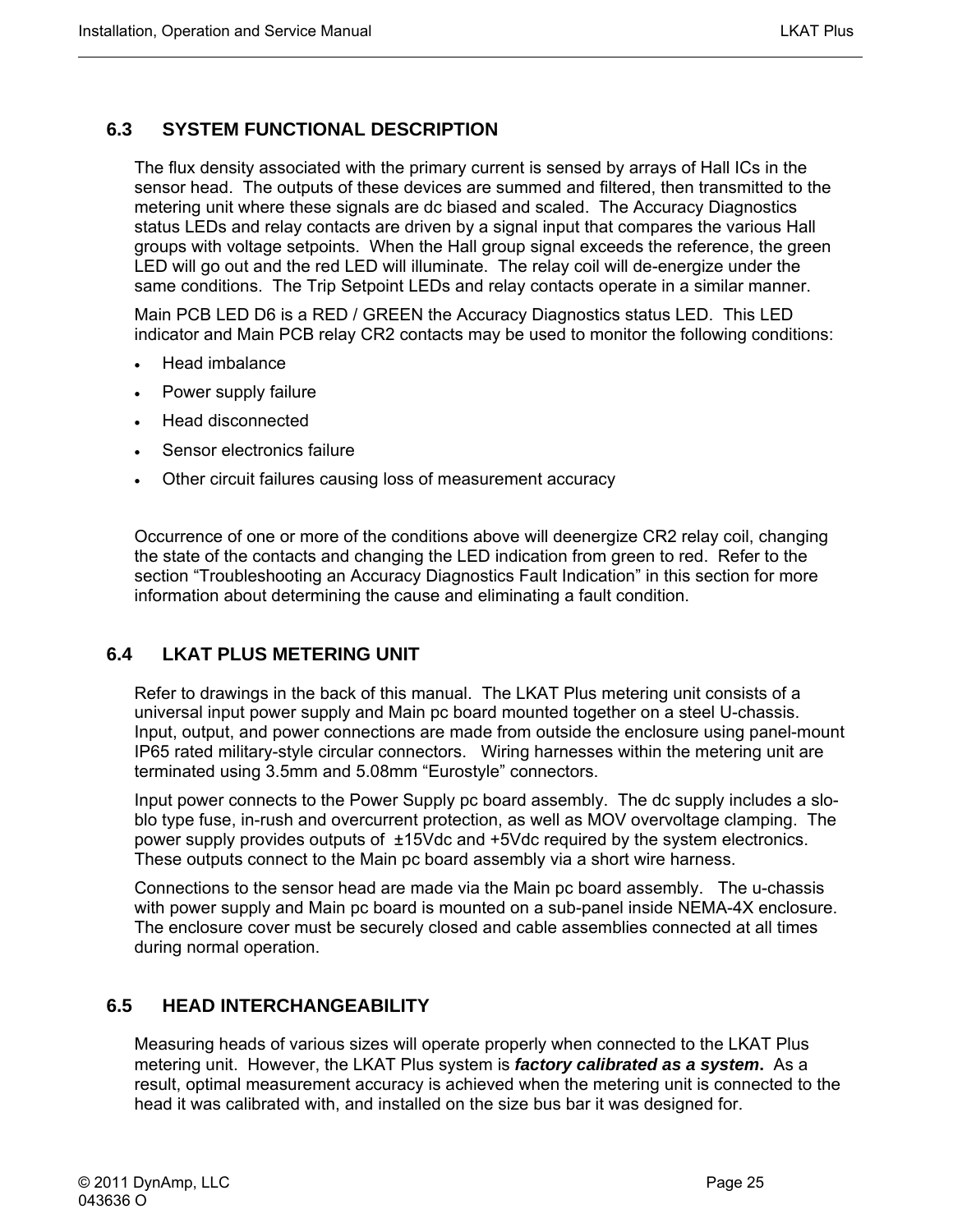#### <span id="page-38-0"></span>**6.3 SYSTEM FUNCTIONAL DESCRIPTION**

The flux density associated with the primary current is sensed by arrays of Hall ICs in the sensor head. The outputs of these devices are summed and filtered, then transmitted to the metering unit where these signals are dc biased and scaled. The Accuracy Diagnostics status LEDs and relay contacts are driven by a signal input that compares the various Hall groups with voltage setpoints. When the Hall group signal exceeds the reference, the green LED will go out and the red LED will illuminate. The relay coil will de-energize under the same conditions. The Trip Setpoint LEDs and relay contacts operate in a similar manner.

Main PCB LED D6 is a RED / GREEN the Accuracy Diagnostics status LED. This LED indicator and Main PCB relay CR2 contacts may be used to monitor the following conditions:

- Head imbalance
- Power supply failure
- Head disconnected
- Sensor electronics failure
- Other circuit failures causing loss of measurement accuracy

Occurrence of one or more of the conditions above will deenergize CR2 relay coil, changing the state of the contacts and changing the LED indication from green to red. Refer to the section "Troubleshooting an Accuracy Diagnostics Fault Indication" in this section for more information about determining the cause and eliminating a fault condition.

#### **6.4 LKAT PLUS METERING UNIT**

Refer to drawings in the back of this manual. The LKAT Plus metering unit consists of a universal input power supply and Main pc board mounted together on a steel U-chassis. Input, output, and power connections are made from outside the enclosure using panel-mount IP65 rated military-style circular connectors. Wiring harnesses within the metering unit are terminated using 3.5mm and 5.08mm "Eurostyle" connectors.

Input power connects to the Power Supply pc board assembly. The dc supply includes a sloblo type fuse, in-rush and overcurrent protection, as well as MOV overvoltage clamping. The power supply provides outputs of ±15Vdc and +5Vdc required by the system electronics. These outputs connect to the Main pc board assembly via a short wire harness.

Connections to the sensor head are made via the Main pc board assembly. The u-chassis with power supply and Main pc board is mounted on a sub-panel inside NEMA-4X enclosure. The enclosure cover must be securely closed and cable assemblies connected at all times during normal operation.

#### **6.5 HEAD INTERCHANGEABILITY**

Measuring heads of various sizes will operate properly when connected to the LKAT Plus metering unit. However, the LKAT Plus system is *factory calibrated as a system***.** As a result, optimal measurement accuracy is achieved when the metering unit is connected to the head it was calibrated with, and installed on the size bus bar it was designed for.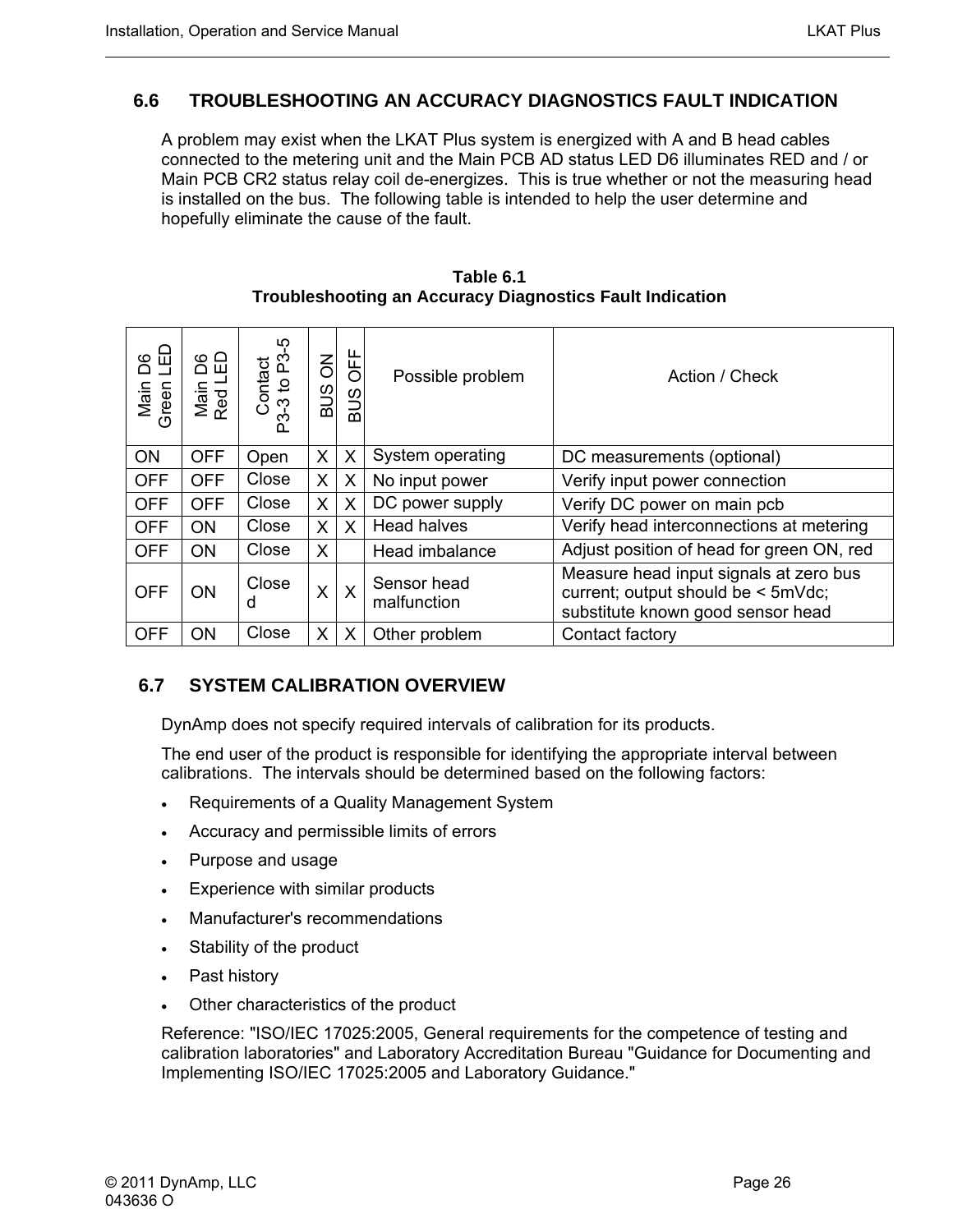#### <span id="page-39-0"></span>**6.6 TROUBLESHOOTING AN ACCURACY DIAGNOSTICS FAULT INDICATION**

A problem may exist when the LKAT Plus system is energized with A and B head cables connected to the metering unit and the Main PCB AD status LED D6 illuminates RED and / or Main PCB CR2 status relay coil de-energizes. This is true whether or not the measuring head is installed on the bus. The following table is intended to help the user determine and hopefully eliminate the cause of the fault.

| 品<br>ဉိ<br>Main<br>Green | 8品<br>Main I<br>Red LI | ပှ<br>Contact<br>-3 to P3-<br>ဥ | <b>BUS ON</b> | <b>OFF</b><br><b>SUB</b> | Possible problem           | Action / Check                                                                                                    |
|--------------------------|------------------------|---------------------------------|---------------|--------------------------|----------------------------|-------------------------------------------------------------------------------------------------------------------|
| <b>ON</b>                | <b>OFF</b>             | Open                            | X             | X                        | System operating           | DC measurements (optional)                                                                                        |
| <b>OFF</b>               | <b>OFF</b>             | Close                           | X             | X                        | No input power             | Verify input power connection                                                                                     |
| <b>OFF</b>               | <b>OFF</b>             | Close                           | X             | X                        | DC power supply            | Verify DC power on main pcb                                                                                       |
| <b>OFF</b>               | <b>ON</b>              | Close                           | X             | X                        | <b>Head halves</b>         | Verify head interconnections at metering                                                                          |
| <b>OFF</b>               | <b>ON</b>              | Close                           | X             |                          | Head imbalance             | Adjust position of head for green ON, red                                                                         |
| <b>OFF</b>               | <b>ON</b>              | Close<br>d                      | X             | X                        | Sensor head<br>malfunction | Measure head input signals at zero bus<br>current; output should be < 5mVdc;<br>substitute known good sensor head |
| <b>OFF</b>               | ON                     | Close                           | X             | X                        | Other problem              | Contact factory                                                                                                   |

#### **Table 6.1 Troubleshooting an Accuracy Diagnostics Fault Indication**

#### **6.7 SYSTEM CALIBRATION OVERVIEW**

DynAmp does not specify required intervals of calibration for its products.

The end user of the product is responsible for identifying the appropriate interval between calibrations. The intervals should be determined based on the following factors:

- Requirements of a Quality Management System
- Accuracy and permissible limits of errors
- Purpose and usage
- Experience with similar products
- Manufacturer's recommendations
- Stability of the product
- Past history
- Other characteristics of the product

Reference: "ISO/IEC 17025:2005, General requirements for the competence of testing and calibration laboratories" and Laboratory Accreditation Bureau "Guidance for Documenting and Implementing ISO/IEC 17025:2005 and Laboratory Guidance."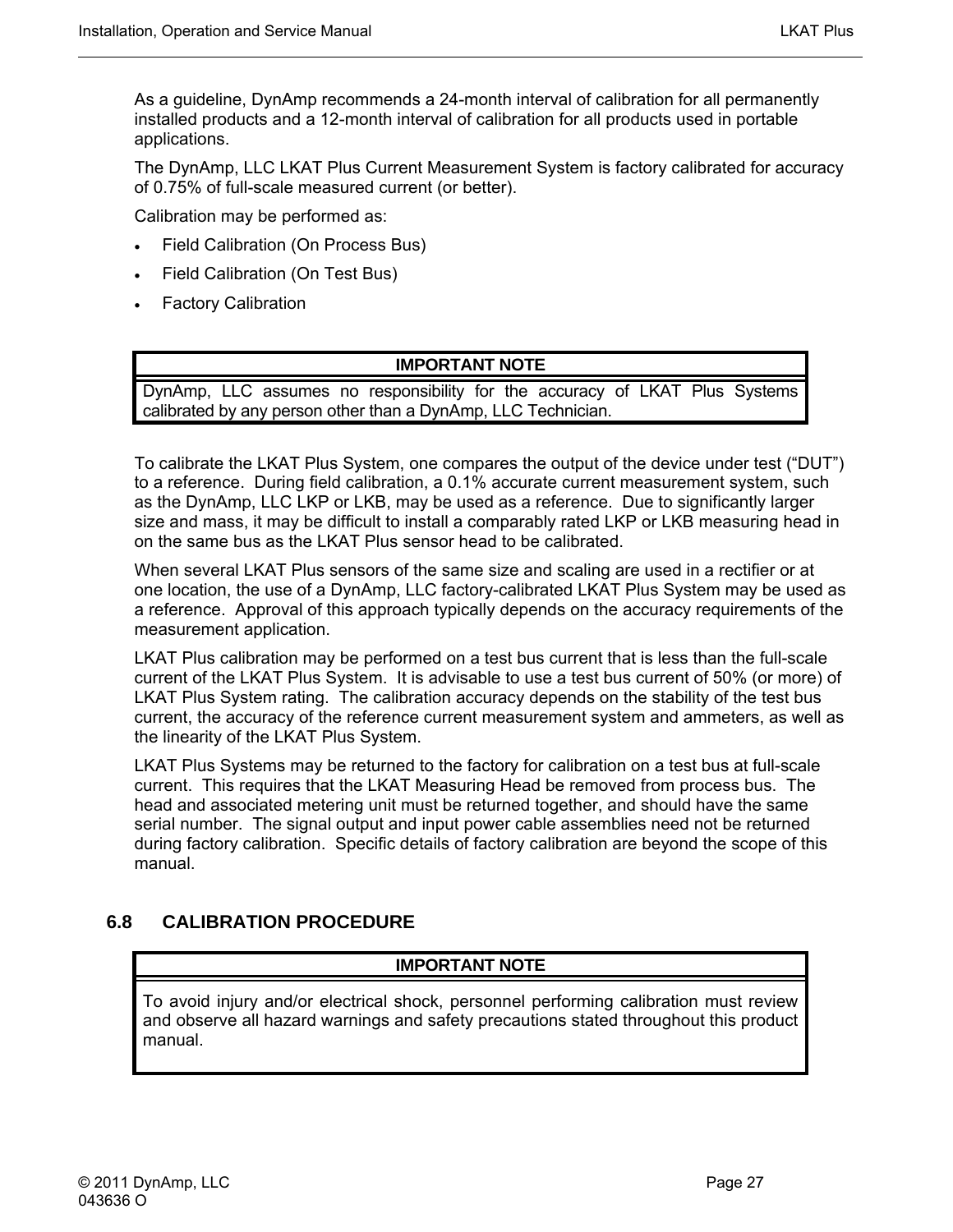<span id="page-40-0"></span>As a guideline, DynAmp recommends a 24-month interval of calibration for all permanently installed products and a 12-month interval of calibration for all products used in portable applications.

The DynAmp, LLC LKAT Plus Current Measurement System is factory calibrated for accuracy of 0.75% of full-scale measured current (or better).

Calibration may be performed as:

- Field Calibration (On Process Bus)
- Field Calibration (On Test Bus)
- Factory Calibration

#### **IMPORTANT NOTE**

DynAmp, LLC assumes no responsibility for the accuracy of LKAT Plus Systems calibrated by any person other than a DynAmp, LLC Technician.

To calibrate the LKAT Plus System, one compares the output of the device under test ("DUT") to a reference. During field calibration, a 0.1% accurate current measurement system, such as the DynAmp, LLC LKP or LKB, may be used as a reference. Due to significantly larger size and mass, it may be difficult to install a comparably rated LKP or LKB measuring head in on the same bus as the LKAT Plus sensor head to be calibrated.

When several LKAT Plus sensors of the same size and scaling are used in a rectifier or at one location, the use of a DynAmp, LLC factory-calibrated LKAT Plus System may be used as a reference. Approval of this approach typically depends on the accuracy requirements of the measurement application.

LKAT Plus calibration may be performed on a test bus current that is less than the full-scale current of the LKAT Plus System. It is advisable to use a test bus current of 50% (or more) of LKAT Plus System rating. The calibration accuracy depends on the stability of the test bus current, the accuracy of the reference current measurement system and ammeters, as well as the linearity of the LKAT Plus System.

LKAT Plus Systems may be returned to the factory for calibration on a test bus at full-scale current. This requires that the LKAT Measuring Head be removed from process bus. The head and associated metering unit must be returned together, and should have the same serial number. The signal output and input power cable assemblies need not be returned during factory calibration. Specific details of factory calibration are beyond the scope of this manual.

#### **6.8 CALIBRATION PROCEDURE**

#### **IMPORTANT NOTE**

To avoid injury and/or electrical shock, personnel performing calibration must review and observe all hazard warnings and safety precautions stated throughout this product manual.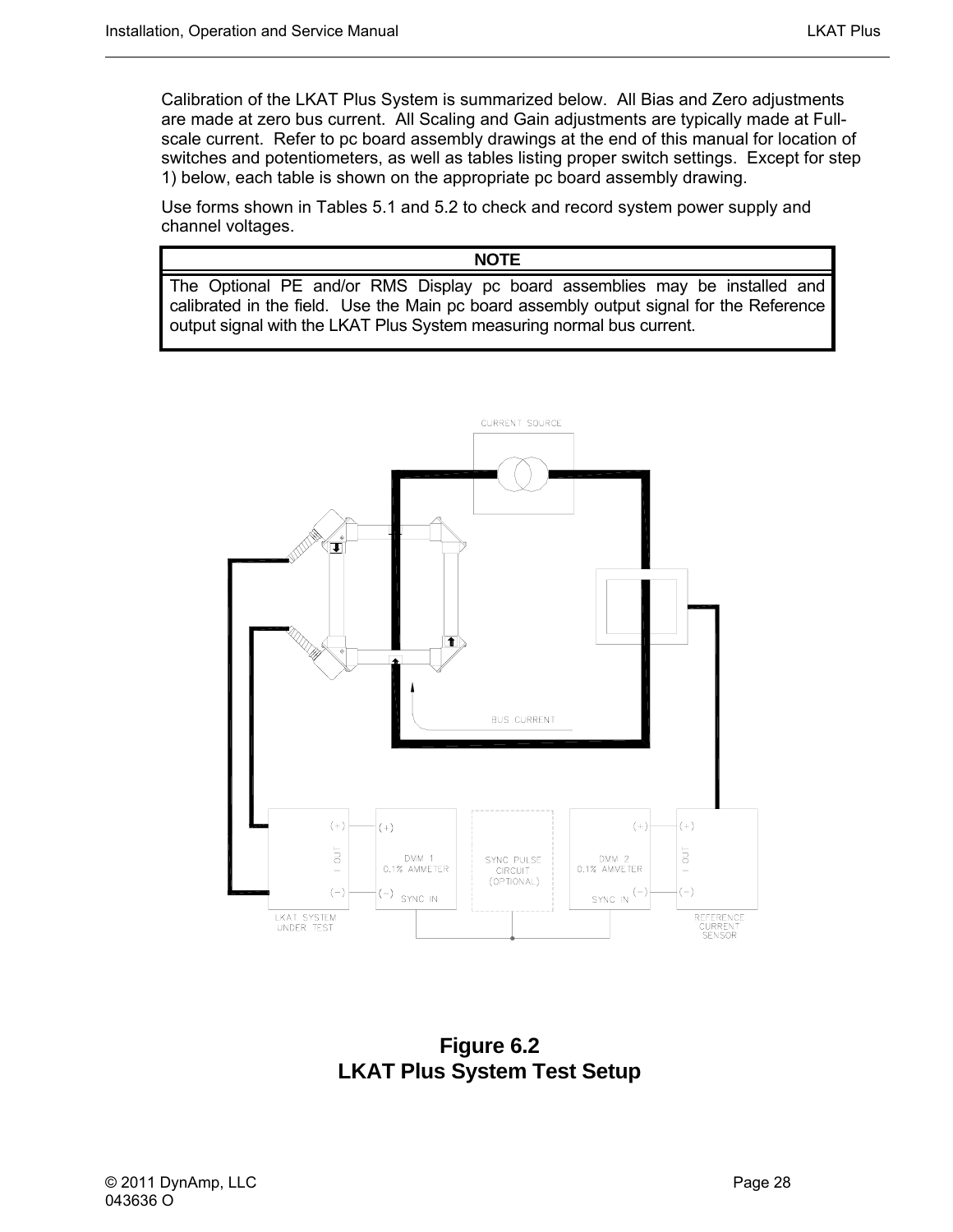<span id="page-41-0"></span>Calibration of the LKAT Plus System is summarized below. All Bias and Zero adjustments are made at zero bus current. All Scaling and Gain adjustments are typically made at Fullscale current. Refer to pc board assembly drawings at the end of this manual for location of switches and potentiometers, as well as tables listing proper switch settings. Except for step 1) below, each table is shown on the appropriate pc board assembly drawing.

Use forms shown in Tables 5.1 and 5.2 to check and record system power supply and channel voltages.

#### **NOTE**

The Optional PE and/or RMS Display pc board assemblies may be installed and calibrated in the field. Use the Main pc board assembly output signal for the Reference output signal with the LKAT Plus System measuring normal bus current.



**Figure 6.2 LKAT Plus System Test Setup**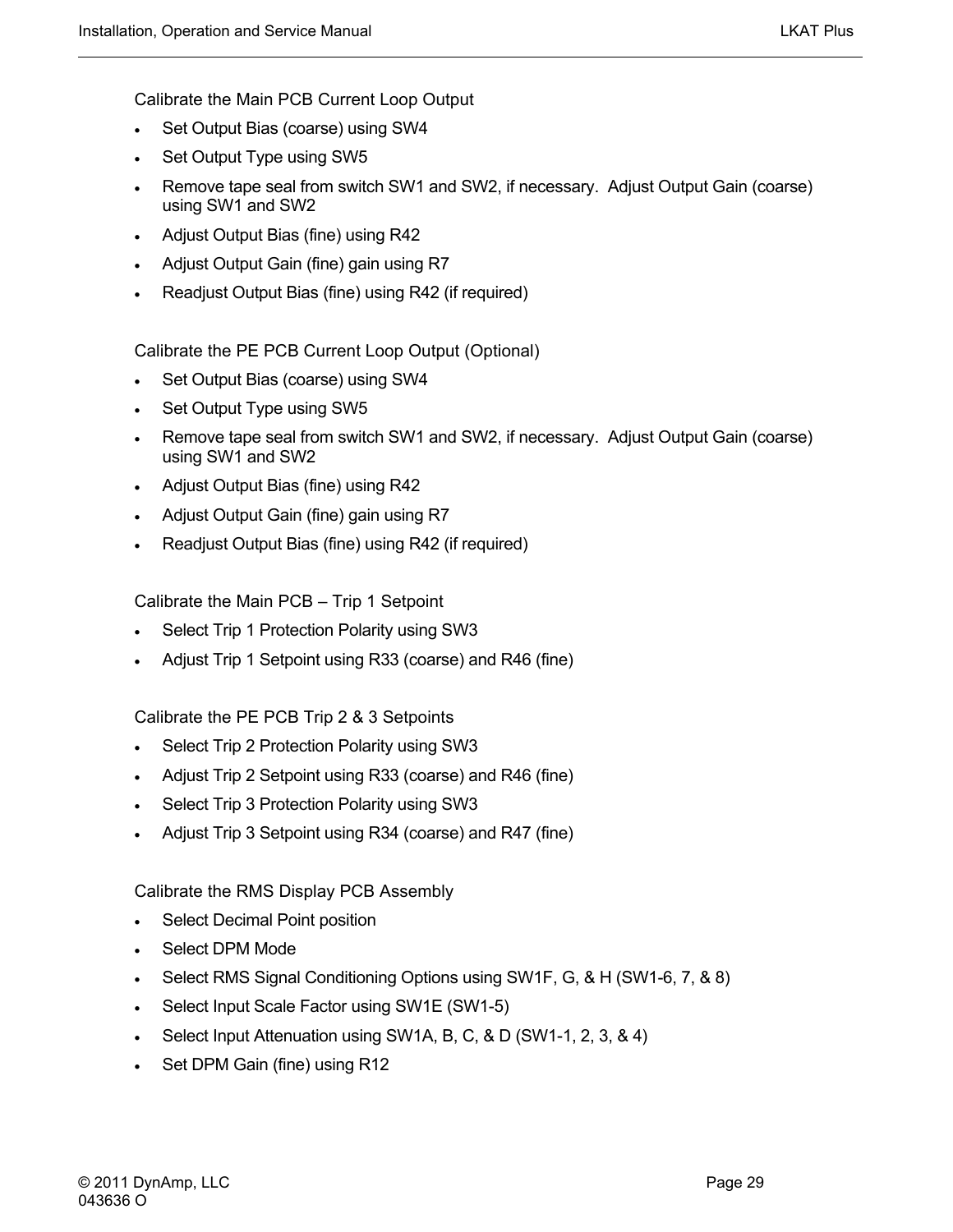Calibrate the Main PCB Current Loop Output

- Set Output Bias (coarse) using SW4
- Set Output Type using SW5
- Remove tape seal from switch SW1 and SW2, if necessary. Adjust Output Gain (coarse) using SW1 and SW2
- Adjust Output Bias (fine) using R42
- Adjust Output Gain (fine) gain using R7
- Readjust Output Bias (fine) using R42 (if required)

Calibrate the PE PCB Current Loop Output (Optional)

- Set Output Bias (coarse) using SW4
- Set Output Type using SW5
- Remove tape seal from switch SW1 and SW2, if necessary. Adjust Output Gain (coarse) using SW1 and SW2
- Adjust Output Bias (fine) using R42
- Adjust Output Gain (fine) gain using R7
- Readjust Output Bias (fine) using R42 (if required)

Calibrate the Main PCB – Trip 1 Setpoint

- Select Trip 1 Protection Polarity using SW3
- Adjust Trip 1 Setpoint using R33 (coarse) and R46 (fine)

Calibrate the PE PCB Trip 2 & 3 Setpoints

- Select Trip 2 Protection Polarity using SW3
- Adjust Trip 2 Setpoint using R33 (coarse) and R46 (fine)
- Select Trip 3 Protection Polarity using SW3
- Adjust Trip 3 Setpoint using R34 (coarse) and R47 (fine)

Calibrate the RMS Display PCB Assembly

- Select Decimal Point position
- Select DPM Mode
- Select RMS Signal Conditioning Options using SW1F, G, & H (SW1-6, 7, & 8)
- Select Input Scale Factor using SW1E (SW1-5)
- Select Input Attenuation using SW1A, B, C, & D (SW1-1, 2, 3, & 4)
- Set DPM Gain (fine) using R12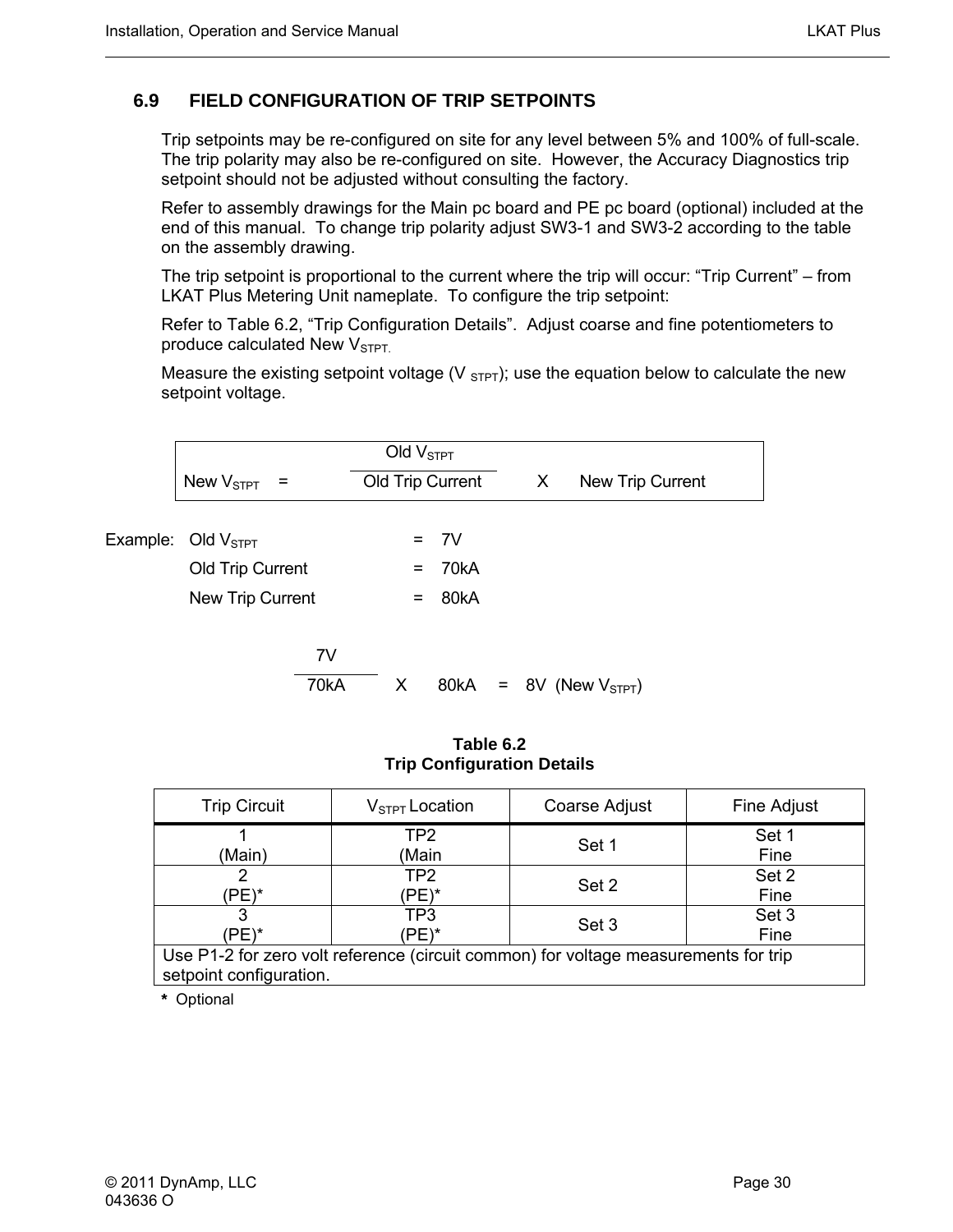#### <span id="page-43-0"></span>**6.9 FIELD CONFIGURATION OF TRIP SETPOINTS**

Trip setpoints may be re-configured on site for any level between 5% and 100% of full-scale. The trip polarity may also be re-configured on site. However, the Accuracy Diagnostics trip setpoint should not be adjusted without consulting the factory.

Refer to assembly drawings for the Main pc board and PE pc board (optional) included at the end of this manual. To change trip polarity adjust SW3-1 and SW3-2 according to the table on the assembly drawing.

The trip setpoint is proportional to the current where the trip will occur: "Trip Current" – from LKAT Plus Metering Unit nameplate. To configure the trip setpoint:

Refer to Table 6.2, "Trip Configuration Details". Adjust coarse and fine potentiometers to produce calculated New  $V<sub>STPT</sub>$ .

Measure the existing setpoint voltage (V  $_{\text{STP}}$ ); use the equation below to calculate the new setpoint voltage.

| New $V_{STPT}$ =               |      | Old $VSTPT$ | Old Trip Current | X | New Trip Current         |  |
|--------------------------------|------|-------------|------------------|---|--------------------------|--|
| Example: Old V <sub>STPT</sub> |      |             | $= 7V$           |   |                          |  |
| Old Trip Current               |      | $=$         | 70kA             |   |                          |  |
| New Trip Current               |      | $=$         | 80kA             |   |                          |  |
|                                | 7V   |             |                  |   |                          |  |
|                                | 70kA | X           | 80kA             |   | $= 8V$ (New $V_{STPT}$ ) |  |

**Table 6.2 Trip Configuration Details** 

| <b>Trip Circuit</b>                                                                                            | $V_{STPT}$ Location | <b>Coarse Adjust</b> | Fine Adjust   |  |  |
|----------------------------------------------------------------------------------------------------------------|---------------------|----------------------|---------------|--|--|
| (Main)                                                                                                         | TP2<br>(Main        | Set 1                | Set 1<br>Fine |  |  |
| (PE)*                                                                                                          | TP2<br>'PE)*        | Set 2                | Set 2<br>Fine |  |  |
| 'PE)*                                                                                                          | TP3<br>'PE)*        | Set 3                | Set 3<br>Fine |  |  |
| Use P1-2 for zero volt reference (circuit common) for voltage measurements for trip<br>setpoint configuration. |                     |                      |               |  |  |

**\*** Optional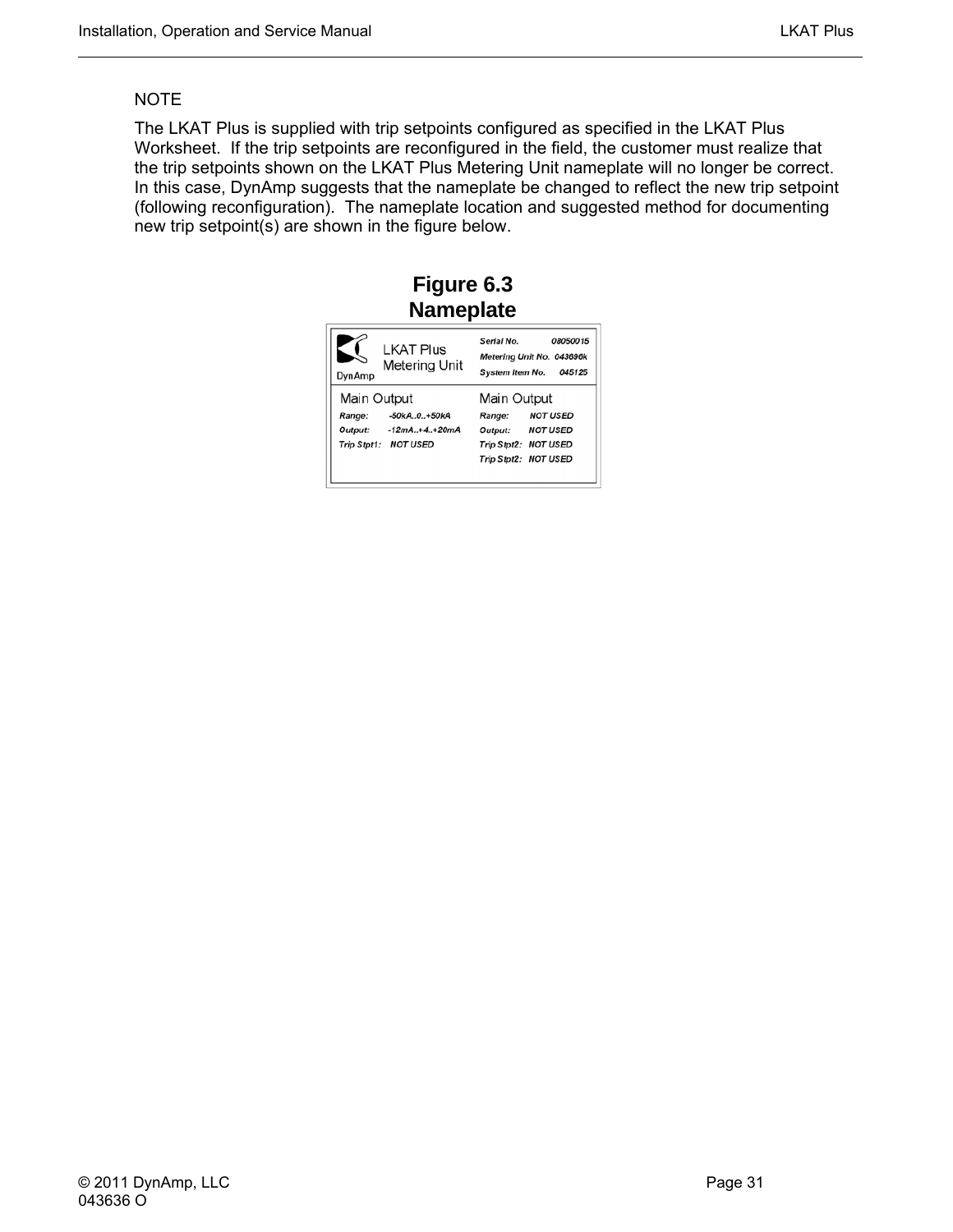#### <span id="page-44-0"></span>**NOTE**

The LKAT Plus is supplied with trip setpoints configured as specified in the LKAT Plus Worksheet. If the trip setpoints are reconfigured in the field, the customer must realize that the trip setpoints shown on the LKAT Plus Metering Unit nameplate will no longer be correct. In this case, DynAmp suggests that the nameplate be changed to reflect the new trip setpoint (following reconfiguration). The nameplate location and suggested method for documenting new trip setpoint(s) are shown in the figure below.

### **Figure 6.3 Nameplate**

| DynAmp      | <b>LKAT Plus</b><br><b>Metering Unit</b>                        | Serial No.<br>08050015<br>Metering Unit No. 043696k<br>System Item No. 045125                           |
|-------------|-----------------------------------------------------------------|---------------------------------------------------------------------------------------------------------|
| Main Output |                                                                 | Main Output                                                                                             |
| Range:      | $-50kA.0.+50kA$<br>Output: -12mA+4+20mA<br>Trip Stpt1: NOT USED | <b>NOT USED</b><br>Range:<br><b>NOT USED</b><br>Output:<br>Trip Stpt2: NOT USED<br>Trip Stpt2: NOT USED |
|             |                                                                 |                                                                                                         |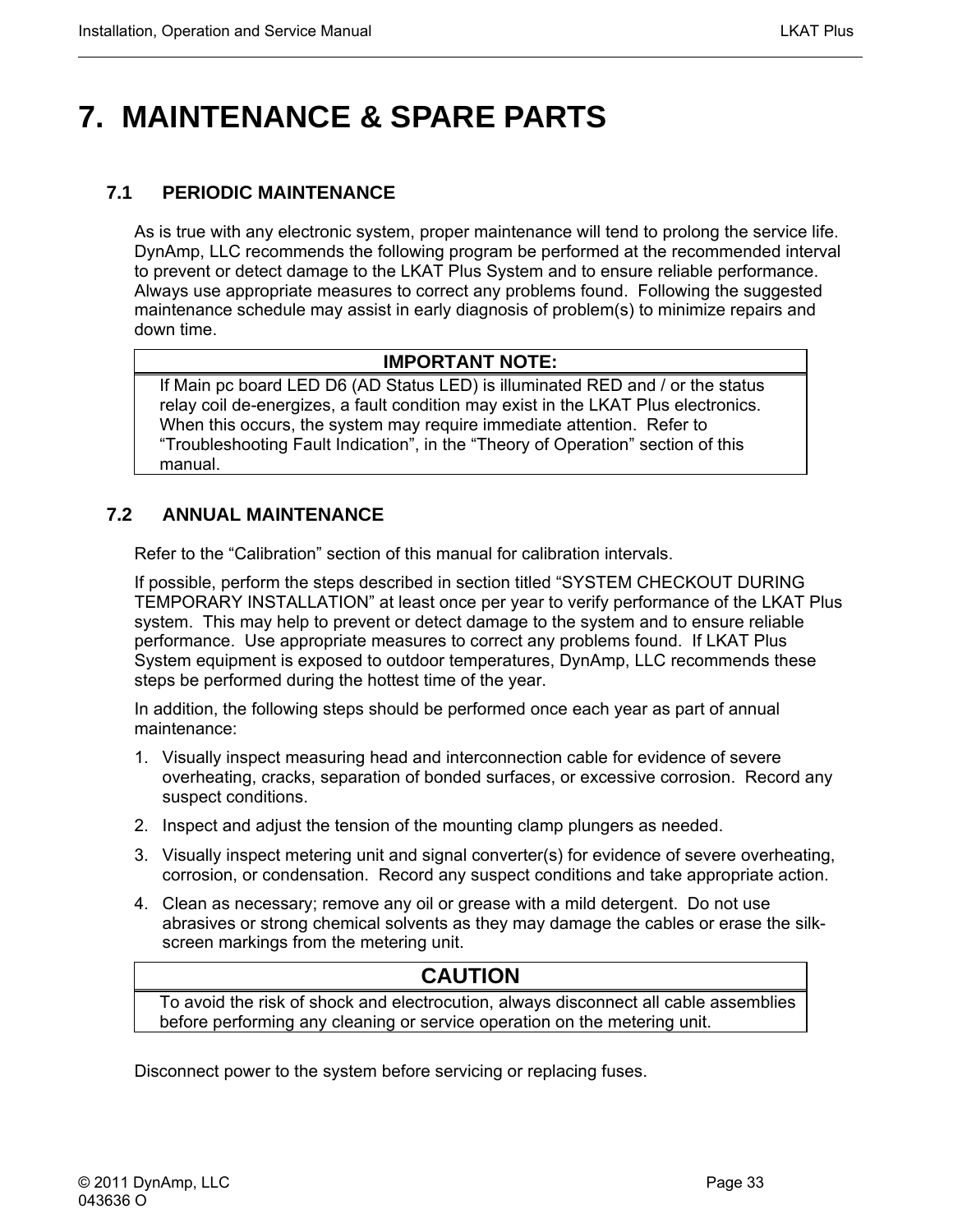# <span id="page-46-0"></span>**7. MAINTENANCE & SPARE PARTS**

#### **7.1 PERIODIC MAINTENANCE**

As is true with any electronic system, proper maintenance will tend to prolong the service life. DynAmp, LLC recommends the following program be performed at the recommended interval to prevent or detect damage to the LKAT Plus System and to ensure reliable performance. Always use appropriate measures to correct any problems found. Following the suggested maintenance schedule may assist in early diagnosis of problem(s) to minimize repairs and down time.

#### **IMPORTANT NOTE:**

If Main pc board LED D6 (AD Status LED) is illuminated RED and / or the status relay coil de-energizes, a fault condition may exist in the LKAT Plus electronics. When this occurs, the system may require immediate attention. Refer to "Troubleshooting Fault Indication", in the "Theory of Operation" section of this manual.

#### **7.2 ANNUAL MAINTENANCE**

Refer to the "Calibration" section of this manual for calibration intervals.

If possible, perform the steps described in section titled "SYSTEM CHECKOUT DURING TEMPORARY INSTALLATION" at least once per year to verify performance of the LKAT Plus system. This may help to prevent or detect damage to the system and to ensure reliable performance. Use appropriate measures to correct any problems found. If LKAT Plus System equipment is exposed to outdoor temperatures, DynAmp, LLC recommends these steps be performed during the hottest time of the year.

In addition, the following steps should be performed once each year as part of annual maintenance:

- 1. Visually inspect measuring head and interconnection cable for evidence of severe overheating, cracks, separation of bonded surfaces, or excessive corrosion. Record any suspect conditions.
- 2. Inspect and adjust the tension of the mounting clamp plungers as needed.
- 3. Visually inspect metering unit and signal converter(s) for evidence of severe overheating, corrosion, or condensation. Record any suspect conditions and take appropriate action.
- 4. Clean as necessary; remove any oil or grease with a mild detergent. Do not use abrasives or strong chemical solvents as they may damage the cables or erase the silkscreen markings from the metering unit.

#### **CAUTION**

To avoid the risk of shock and electrocution, always disconnect all cable assemblies before performing any cleaning or service operation on the metering unit.

Disconnect power to the system before servicing or replacing fuses.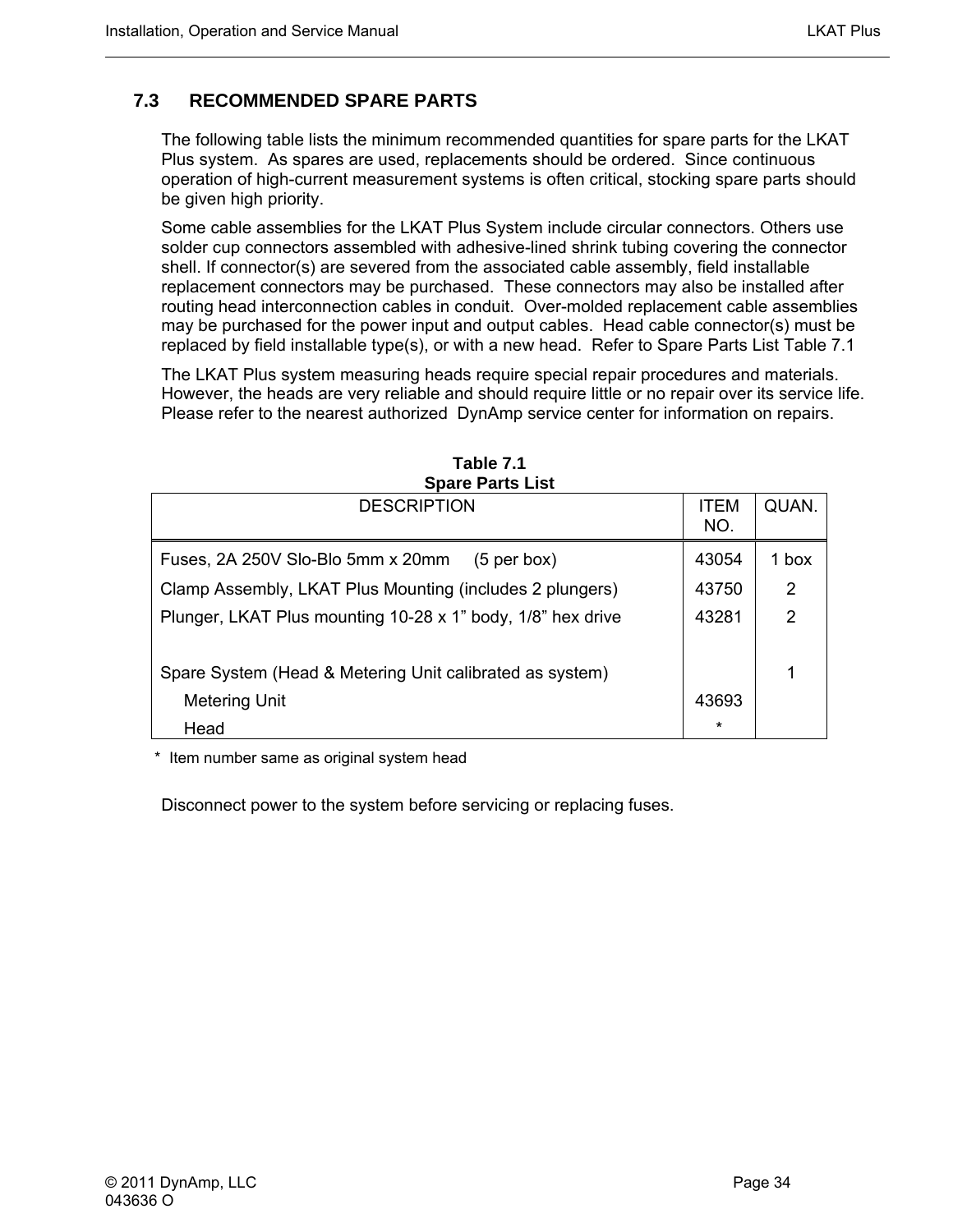#### <span id="page-47-0"></span>**7.3 RECOMMENDED SPARE PARTS**

The following table lists the minimum recommended quantities for spare parts for the LKAT Plus system. As spares are used, replacements should be ordered. Since continuous operation of high-current measurement systems is often critical, stocking spare parts should be given high priority.

Some cable assemblies for the LKAT Plus System include circular connectors. Others use solder cup connectors assembled with adhesive-lined shrink tubing covering the connector shell. If connector(s) are severed from the associated cable assembly, field installable replacement connectors may be purchased. These connectors may also be installed after routing head interconnection cables in conduit. Over-molded replacement cable assemblies may be purchased for the power input and output cables. Head cable connector(s) must be replaced by field installable type(s), or with a new head. Refer to Spare Parts List Table 7.1

The LKAT Plus system measuring heads require special repair procedures and materials. However, the heads are very reliable and should require little or no repair over its service life. Please refer to the nearest authorized DynAmp service center for information on repairs.

| <b>UNGITION</b>                                             |                    |       |
|-------------------------------------------------------------|--------------------|-------|
| <b>DESCRIPTION</b>                                          | <b>ITEM</b><br>NO. | QUAN. |
| Fuses, 2A 250V Slo-Blo 5mm x 20mm<br>$(5$ per box)          | 43054              | 1 box |
| Clamp Assembly, LKAT Plus Mounting (includes 2 plungers)    | 43750              | 2     |
| Plunger, LKAT Plus mounting 10-28 x 1" body, 1/8" hex drive | 43281              | 2     |
|                                                             |                    |       |
| Spare System (Head & Metering Unit calibrated as system)    |                    |       |
| <b>Metering Unit</b>                                        | 43693              |       |
| Head                                                        | $\ast$             |       |

**Table 7.1 Spare Parts List** 

Item number same as original system head

Disconnect power to the system before servicing or replacing fuses.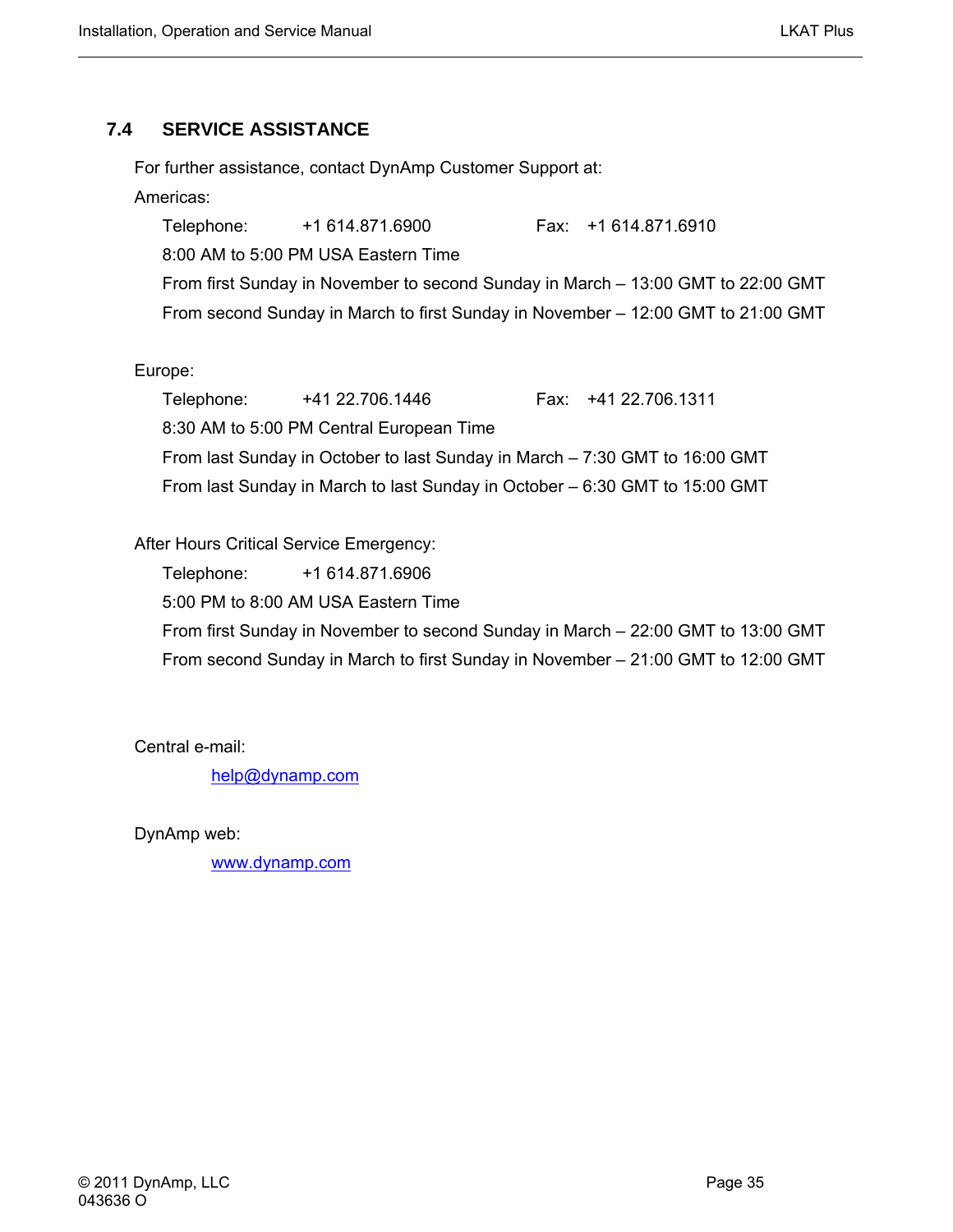#### <span id="page-48-0"></span>**7.4 SERVICE ASSISTANCE**

For further assistance, contact DynAmp Customer Support at:

#### Americas:

Telephone: +1 614.871.6900 Fax: +1 614.871.6910 8:00 AM to 5:00 PM USA Eastern Time From first Sunday in November to second Sunday in March – 13:00 GMT to 22:00 GMT From second Sunday in March to first Sunday in November – 12:00 GMT to 21:00 GMT

#### Europe:

Telephone: +41 22.706.1446 Fax: +41 22.706.1311 8:30 AM to 5:00 PM Central European Time From last Sunday in October to last Sunday in March – 7:30 GMT to 16:00 GMT From last Sunday in March to last Sunday in October – 6:30 GMT to 15:00 GMT

#### After Hours Critical Service Emergency:

Telephone: +1 614.871.6906

5:00 PM to 8:00 AM USA Eastern Time

From first Sunday in November to second Sunday in March – 22:00 GMT to 13:00 GMT From second Sunday in March to first Sunday in November – 21:00 GMT to 12:00 GMT

Central e-mail:

[help@dynamp.com](mailto:help@dynamp.com)

DynAmp web:

[www.dynamp.com](http://www.dynamp.com/)